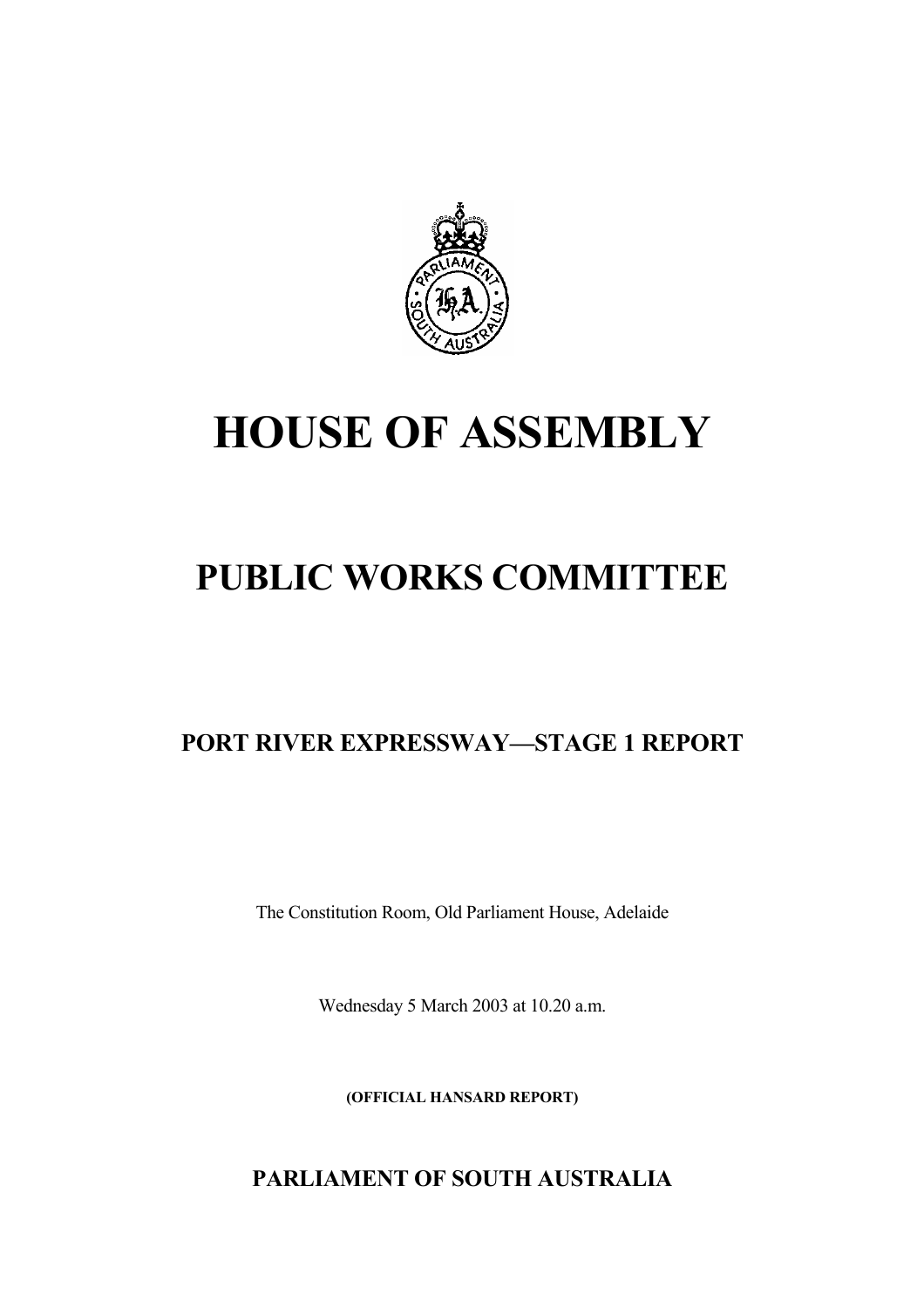

# **HOUSE OF ASSEMBLY**

## **PUBLIC WORKS COMMITTEE**

## **PORT RIVER EXPRESSWAY—STAGE 1 REPORT**

The Constitution Room, Old Parliament House, Adelaide

Wednesday 5 March 2003 at 10.20 a.m.

**(OFFICIAL HANSARD REPORT)** 

### **PARLIAMENT OF SOUTH AUSTRALIA**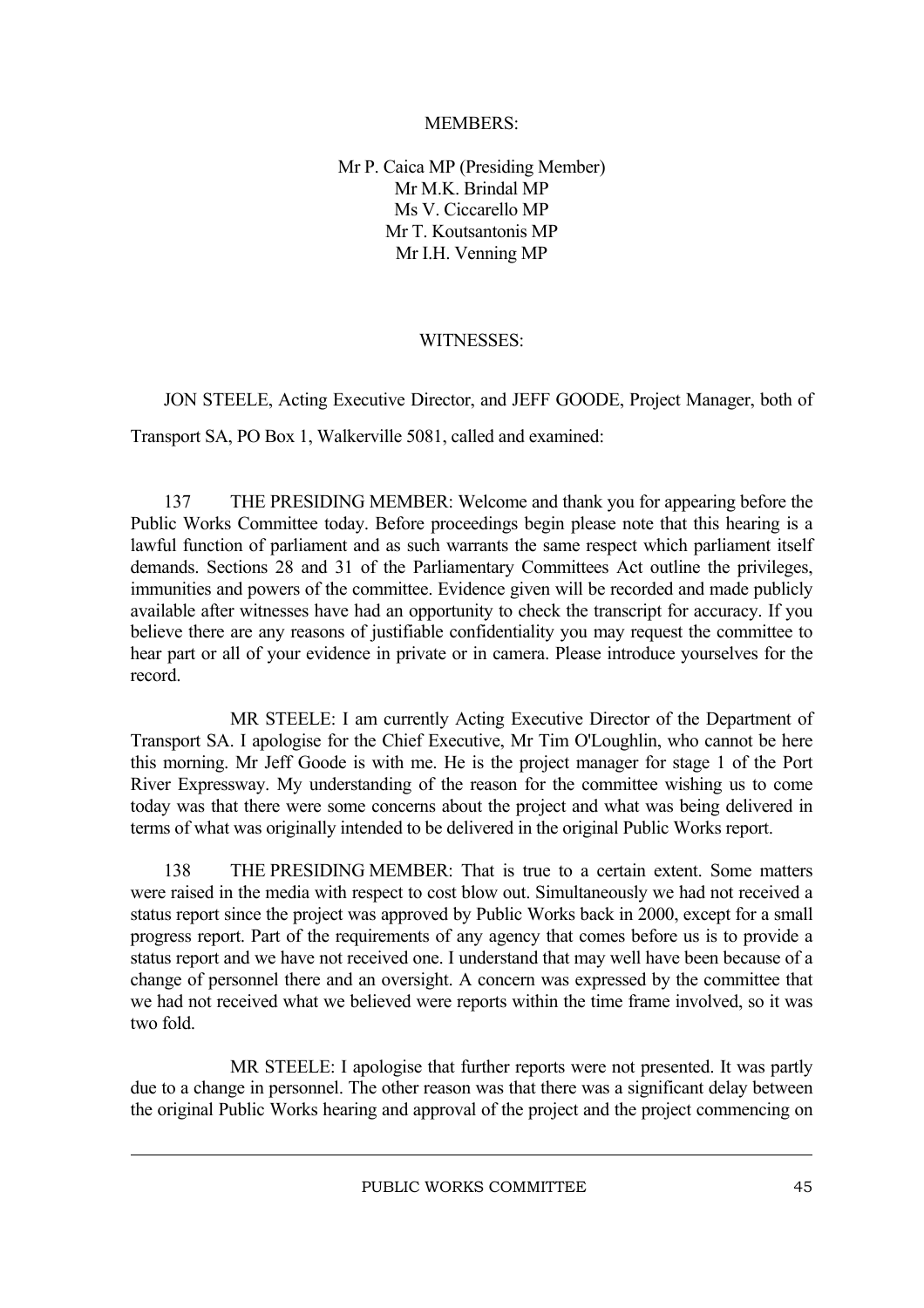#### MEMBERS:

Mr P. Caica MP (Presiding Member) Mr M.K. Brindal MP Ms V. Ciccarello MP Mr T. Koutsantonis MP Mr I.H. Venning MP

#### WITNESSES<sup>.</sup>

JON STEELE, Acting Executive Director, and JEFF GOODE, Project Manager, both of Transport SA, PO Box 1, Walkerville 5081, called and examined:

137 THE PRESIDING MEMBER: Welcome and thank you for appearing before the Public Works Committee today. Before proceedings begin please note that this hearing is a lawful function of parliament and as such warrants the same respect which parliament itself demands. Sections 28 and 31 of the Parliamentary Committees Act outline the privileges, immunities and powers of the committee. Evidence given will be recorded and made publicly available after witnesses have had an opportunity to check the transcript for accuracy. If you believe there are any reasons of justifiable confidentiality you may request the committee to hear part or all of your evidence in private or in camera. Please introduce yourselves for the record.

MR STEELE: I am currently Acting Executive Director of the Department of Transport SA. I apologise for the Chief Executive, Mr Tim O'Loughlin, who cannot be here this morning. Mr Jeff Goode is with me. He is the project manager for stage 1 of the Port River Expressway. My understanding of the reason for the committee wishing us to come today was that there were some concerns about the project and what was being delivered in terms of what was originally intended to be delivered in the original Public Works report.

138 THE PRESIDING MEMBER: That is true to a certain extent. Some matters were raised in the media with respect to cost blow out. Simultaneously we had not received a status report since the project was approved by Public Works back in 2000, except for a small progress report. Part of the requirements of any agency that comes before us is to provide a status report and we have not received one. I understand that may well have been because of a change of personnel there and an oversight. A concern was expressed by the committee that we had not received what we believed were reports within the time frame involved, so it was two fold.

MR STEELE: I apologise that further reports were not presented. It was partly due to a change in personnel. The other reason was that there was a significant delay between the original Public Works hearing and approval of the project and the project commencing on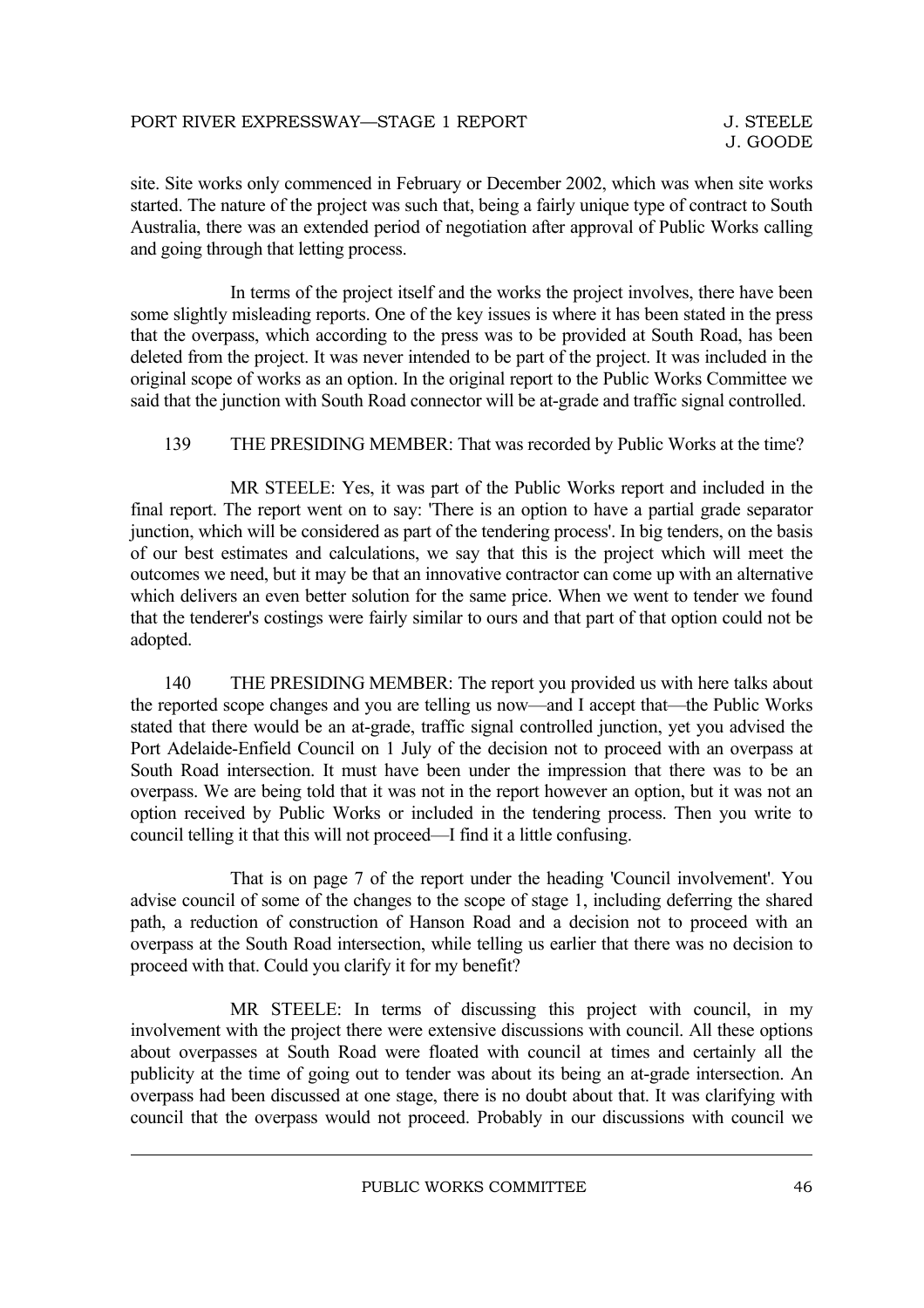site. Site works only commenced in February or December 2002, which was when site works started. The nature of the project was such that, being a fairly unique type of contract to South Australia, there was an extended period of negotiation after approval of Public Works calling and going through that letting process.

In terms of the project itself and the works the project involves, there have been some slightly misleading reports. One of the key issues is where it has been stated in the press that the overpass, which according to the press was to be provided at South Road, has been deleted from the project. It was never intended to be part of the project. It was included in the original scope of works as an option. In the original report to the Public Works Committee we said that the junction with South Road connector will be at-grade and traffic signal controlled.

#### 139 THE PRESIDING MEMBER: That was recorded by Public Works at the time?

MR STEELE: Yes, it was part of the Public Works report and included in the final report. The report went on to say: 'There is an option to have a partial grade separator junction, which will be considered as part of the tendering process'. In big tenders, on the basis of our best estimates and calculations, we say that this is the project which will meet the outcomes we need, but it may be that an innovative contractor can come up with an alternative which delivers an even better solution for the same price. When we went to tender we found that the tenderer's costings were fairly similar to ours and that part of that option could not be adopted.

140 THE PRESIDING MEMBER: The report you provided us with here talks about the reported scope changes and you are telling us now—and I accept that—the Public Works stated that there would be an at-grade, traffic signal controlled junction, yet you advised the Port Adelaide-Enfield Council on 1 July of the decision not to proceed with an overpass at South Road intersection. It must have been under the impression that there was to be an overpass. We are being told that it was not in the report however an option, but it was not an option received by Public Works or included in the tendering process. Then you write to council telling it that this will not proceed—I find it a little confusing.

That is on page 7 of the report under the heading 'Council involvement'. You advise council of some of the changes to the scope of stage 1, including deferring the shared path, a reduction of construction of Hanson Road and a decision not to proceed with an overpass at the South Road intersection, while telling us earlier that there was no decision to proceed with that. Could you clarify it for my benefit?

MR STEELE: In terms of discussing this project with council, in my involvement with the project there were extensive discussions with council. All these options about overpasses at South Road were floated with council at times and certainly all the publicity at the time of going out to tender was about its being an at-grade intersection. An overpass had been discussed at one stage, there is no doubt about that. It was clarifying with council that the overpass would not proceed. Probably in our discussions with council we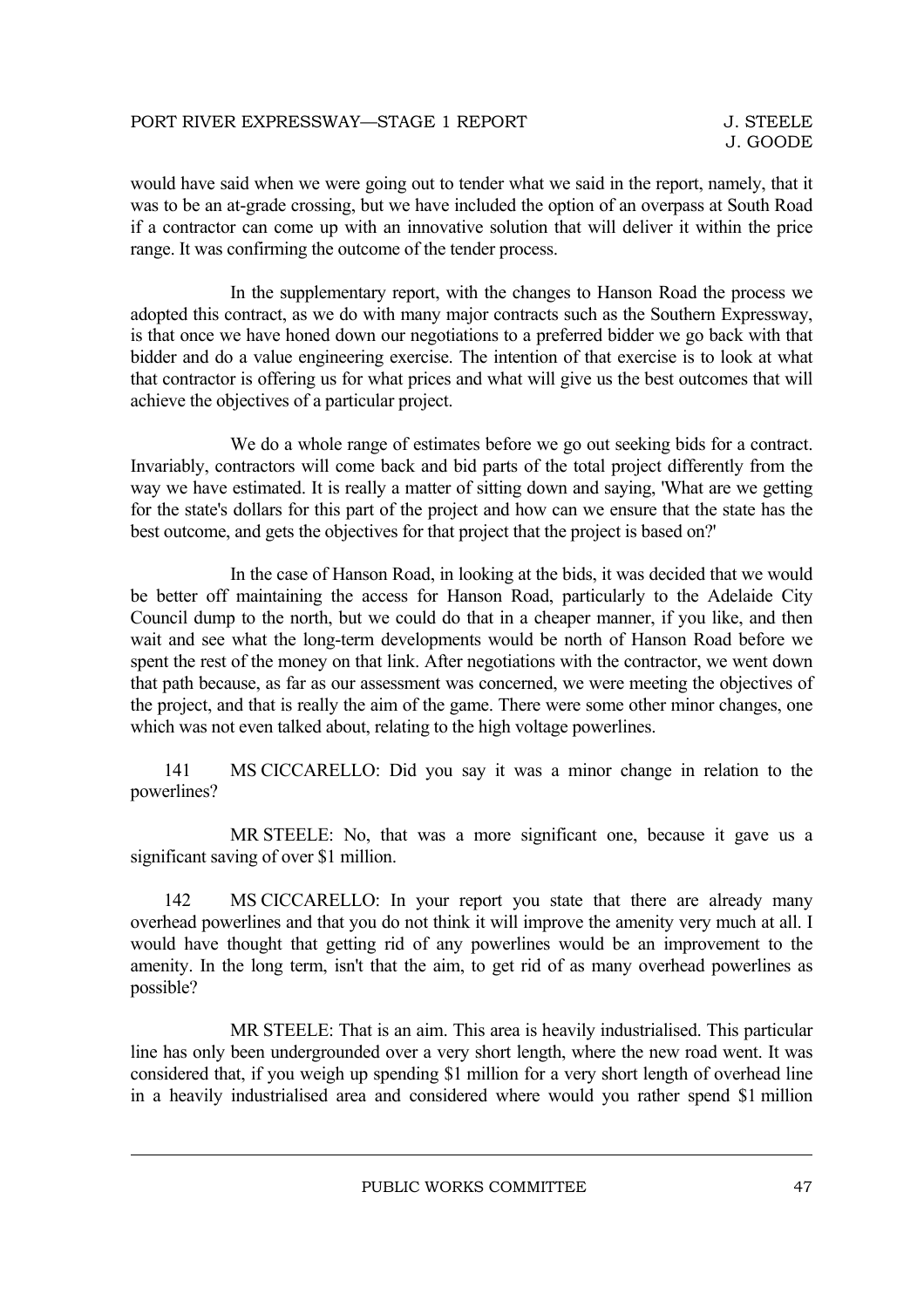would have said when we were going out to tender what we said in the report, namely, that it was to be an at-grade crossing, but we have included the option of an overpass at South Road if a contractor can come up with an innovative solution that will deliver it within the price range. It was confirming the outcome of the tender process.

In the supplementary report, with the changes to Hanson Road the process we adopted this contract, as we do with many major contracts such as the Southern Expressway, is that once we have honed down our negotiations to a preferred bidder we go back with that bidder and do a value engineering exercise. The intention of that exercise is to look at what that contractor is offering us for what prices and what will give us the best outcomes that will achieve the objectives of a particular project.

We do a whole range of estimates before we go out seeking bids for a contract. Invariably, contractors will come back and bid parts of the total project differently from the way we have estimated. It is really a matter of sitting down and saying, 'What are we getting for the state's dollars for this part of the project and how can we ensure that the state has the best outcome, and gets the objectives for that project that the project is based on?'

In the case of Hanson Road, in looking at the bids, it was decided that we would be better off maintaining the access for Hanson Road, particularly to the Adelaide City Council dump to the north, but we could do that in a cheaper manner, if you like, and then wait and see what the long-term developments would be north of Hanson Road before we spent the rest of the money on that link. After negotiations with the contractor, we went down that path because, as far as our assessment was concerned, we were meeting the objectives of the project, and that is really the aim of the game. There were some other minor changes, one which was not even talked about, relating to the high voltage powerlines.

141 MS CICCARELLO: Did you say it was a minor change in relation to the powerlines?

MR STEELE: No, that was a more significant one, because it gave us a significant saving of over \$1 million.

142 MS CICCARELLO: In your report you state that there are already many overhead powerlines and that you do not think it will improve the amenity very much at all. I would have thought that getting rid of any powerlines would be an improvement to the amenity. In the long term, isn't that the aim, to get rid of as many overhead powerlines as possible?

MR STEELE: That is an aim. This area is heavily industrialised. This particular line has only been undergrounded over a very short length, where the new road went. It was considered that, if you weigh up spending \$1 million for a very short length of overhead line in a heavily industrialised area and considered where would you rather spend \$1 million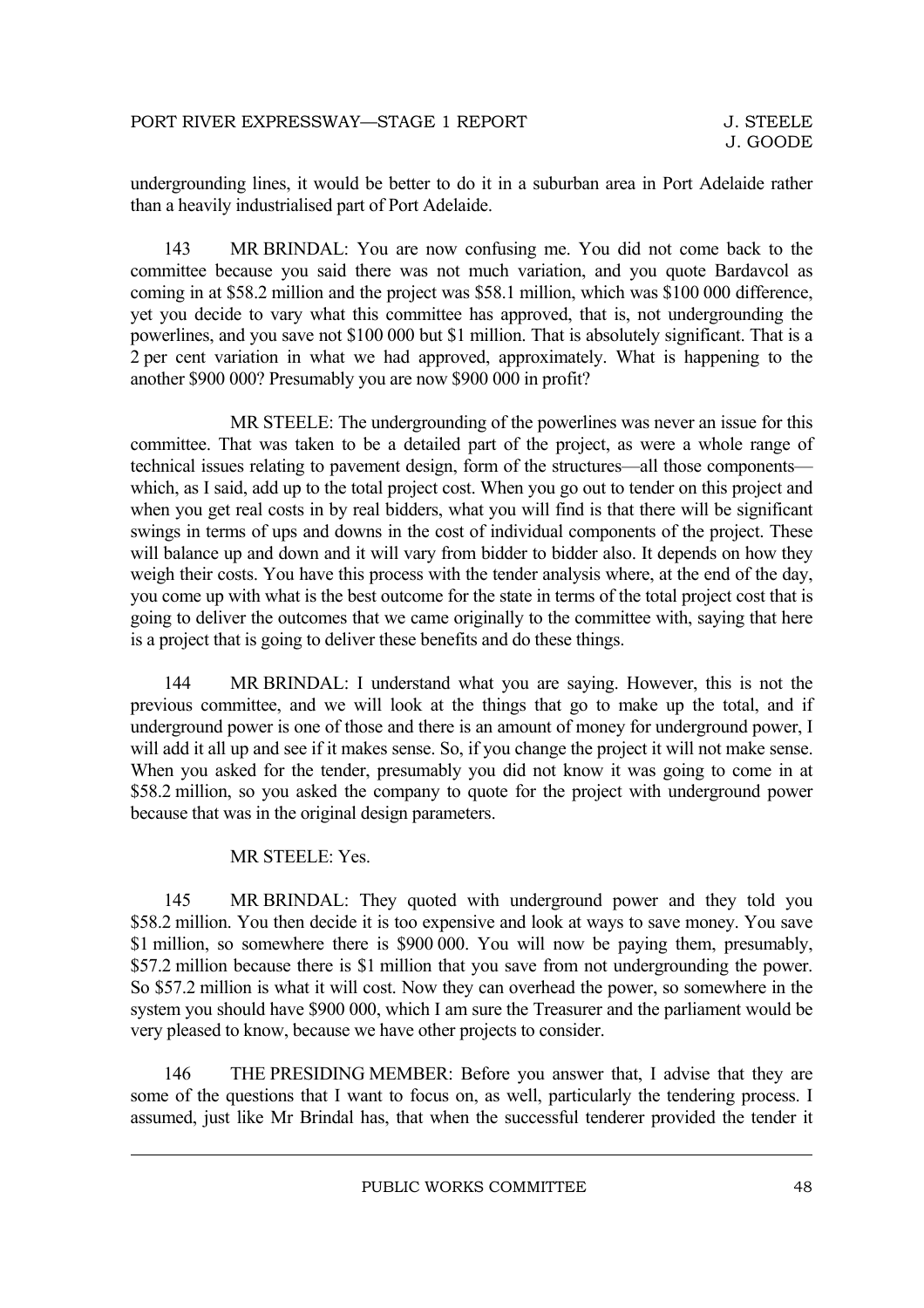undergrounding lines, it would be better to do it in a suburban area in Port Adelaide rather than a heavily industrialised part of Port Adelaide.

143 MR BRINDAL: You are now confusing me. You did not come back to the committee because you said there was not much variation, and you quote Bardavcol as coming in at \$58.2 million and the project was \$58.1 million, which was \$100 000 difference, yet you decide to vary what this committee has approved, that is, not undergrounding the powerlines, and you save not \$100 000 but \$1 million. That is absolutely significant. That is a 2 per cent variation in what we had approved, approximately. What is happening to the another \$900 000? Presumably you are now \$900 000 in profit?

MR STEELE: The undergrounding of the powerlines was never an issue for this committee. That was taken to be a detailed part of the project, as were a whole range of technical issues relating to pavement design, form of the structures—all those components which, as I said, add up to the total project cost. When you go out to tender on this project and when you get real costs in by real bidders, what you will find is that there will be significant swings in terms of ups and downs in the cost of individual components of the project. These will balance up and down and it will vary from bidder to bidder also. It depends on how they weigh their costs. You have this process with the tender analysis where, at the end of the day, you come up with what is the best outcome for the state in terms of the total project cost that is going to deliver the outcomes that we came originally to the committee with, saying that here is a project that is going to deliver these benefits and do these things.

144 MR BRINDAL: I understand what you are saying. However, this is not the previous committee, and we will look at the things that go to make up the total, and if underground power is one of those and there is an amount of money for underground power, I will add it all up and see if it makes sense. So, if you change the project it will not make sense. When you asked for the tender, presumably you did not know it was going to come in at \$58.2 million, so you asked the company to quote for the project with underground power because that was in the original design parameters.

#### MR STEELE: Yes.

145 MR BRINDAL: They quoted with underground power and they told you \$58.2 million. You then decide it is too expensive and look at ways to save money. You save \$1 million, so somewhere there is \$900,000. You will now be paying them, presumably, \$57.2 million because there is \$1 million that you save from not undergrounding the power. So \$57.2 million is what it will cost. Now they can overhead the power, so somewhere in the system you should have \$900 000, which I am sure the Treasurer and the parliament would be very pleased to know, because we have other projects to consider.

146 THE PRESIDING MEMBER: Before you answer that, I advise that they are some of the questions that I want to focus on, as well, particularly the tendering process. I assumed, just like Mr Brindal has, that when the successful tenderer provided the tender it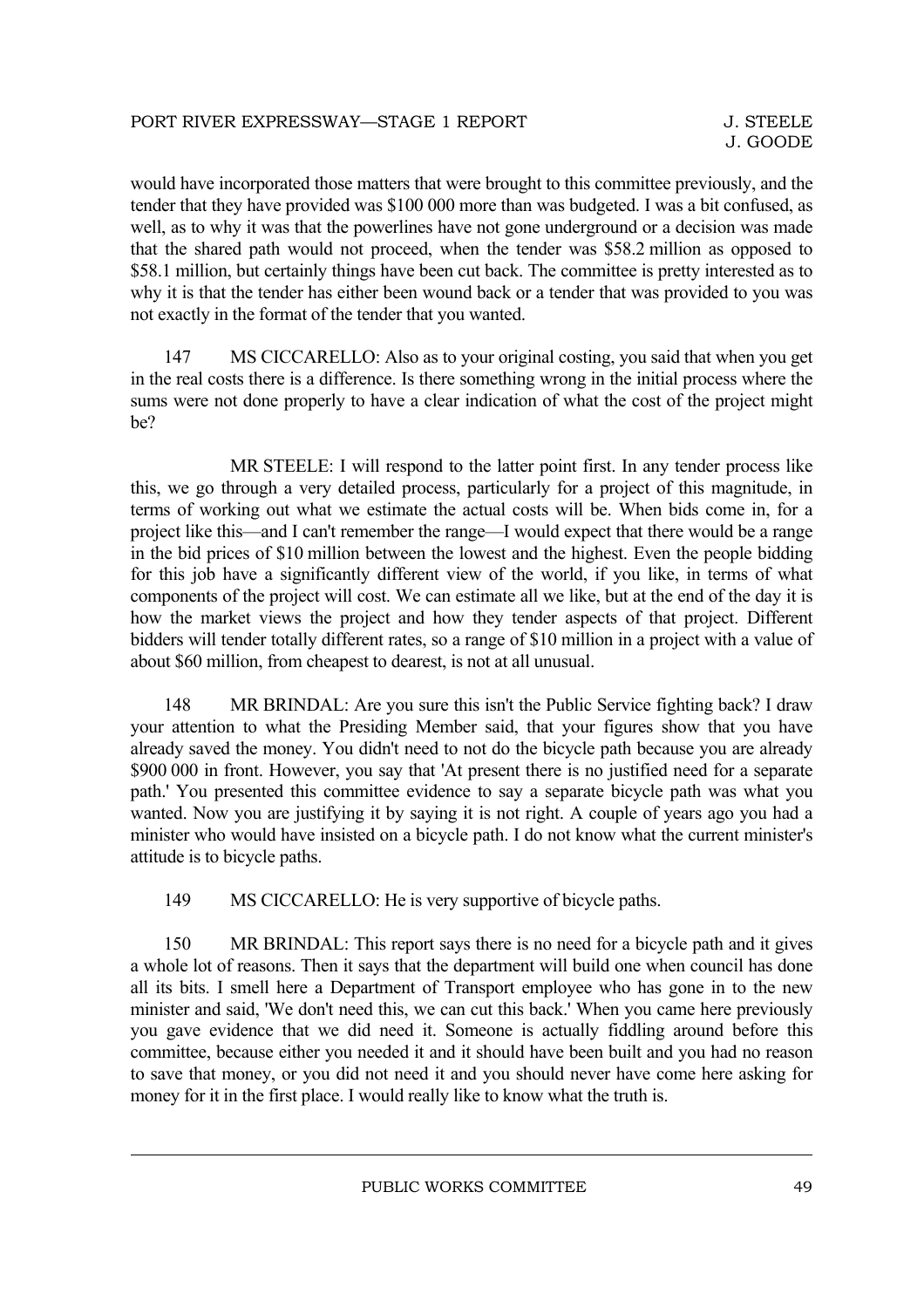would have incorporated those matters that were brought to this committee previously, and the tender that they have provided was \$100 000 more than was budgeted. I was a bit confused, as well, as to why it was that the powerlines have not gone underground or a decision was made that the shared path would not proceed, when the tender was \$58.2 million as opposed to \$58.1 million, but certainly things have been cut back. The committee is pretty interested as to why it is that the tender has either been wound back or a tender that was provided to you was not exactly in the format of the tender that you wanted.

147 MS CICCARELLO: Also as to your original costing, you said that when you get in the real costs there is a difference. Is there something wrong in the initial process where the sums were not done properly to have a clear indication of what the cost of the project might be?

MR STEELE: I will respond to the latter point first. In any tender process like this, we go through a very detailed process, particularly for a project of this magnitude, in terms of working out what we estimate the actual costs will be. When bids come in, for a project like this—and I can't remember the range—I would expect that there would be a range in the bid prices of \$10 million between the lowest and the highest. Even the people bidding for this job have a significantly different view of the world, if you like, in terms of what components of the project will cost. We can estimate all we like, but at the end of the day it is how the market views the project and how they tender aspects of that project. Different bidders will tender totally different rates, so a range of \$10 million in a project with a value of about \$60 million, from cheapest to dearest, is not at all unusual.

148 MR BRINDAL: Are you sure this isn't the Public Service fighting back? I draw your attention to what the Presiding Member said, that your figures show that you have already saved the money. You didn't need to not do the bicycle path because you are already \$900 000 in front. However, you say that 'At present there is no justified need for a separate path.' You presented this committee evidence to say a separate bicycle path was what you wanted. Now you are justifying it by saying it is not right. A couple of years ago you had a minister who would have insisted on a bicycle path. I do not know what the current minister's attitude is to bicycle paths.

149 MS CICCARELLO: He is very supportive of bicycle paths.

150 MR BRINDAL: This report says there is no need for a bicycle path and it gives a whole lot of reasons. Then it says that the department will build one when council has done all its bits. I smell here a Department of Transport employee who has gone in to the new minister and said, 'We don't need this, we can cut this back.' When you came here previously you gave evidence that we did need it. Someone is actually fiddling around before this committee, because either you needed it and it should have been built and you had no reason to save that money, or you did not need it and you should never have come here asking for money for it in the first place. I would really like to know what the truth is.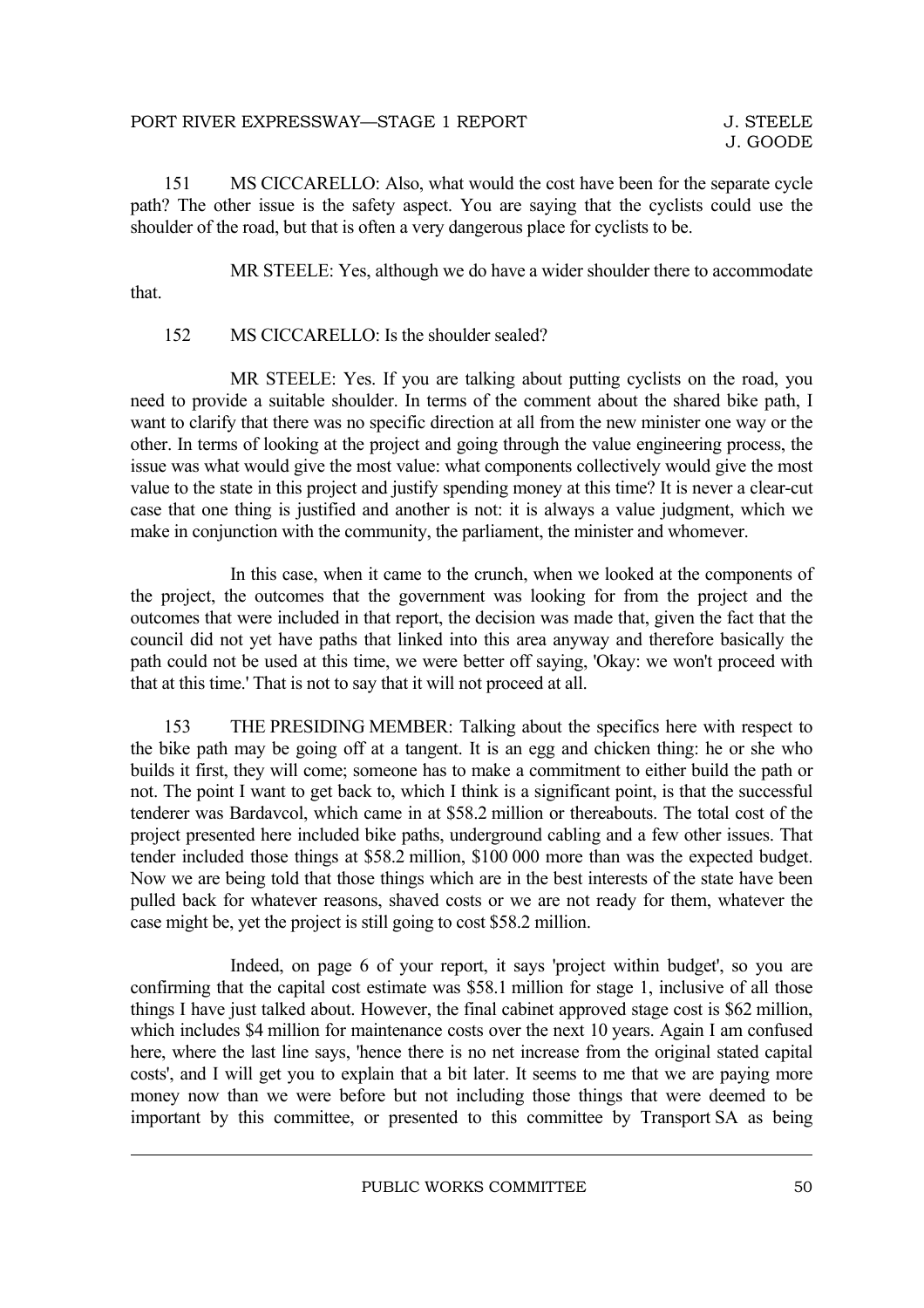#### PORT RIVER EXPRESSWAY—STAGE 1 REPORT

151 MS CICCARELLO: Also, what would the cost have been for the separate cycle path? The other issue is the safety aspect. You are saying that the cyclists could use the shoulder of the road, but that is often a very dangerous place for cyclists to be.

MR STEELE: Yes, although we do have a wider shoulder there to accommodate that.

#### 152 MS CICCARELLO: Is the shoulder sealed?

MR STEELE: Yes. If you are talking about putting cyclists on the road, you need to provide a suitable shoulder. In terms of the comment about the shared bike path, I want to clarify that there was no specific direction at all from the new minister one way or the other. In terms of looking at the project and going through the value engineering process, the issue was what would give the most value: what components collectively would give the most value to the state in this project and justify spending money at this time? It is never a clear-cut case that one thing is justified and another is not: it is always a value judgment, which we make in conjunction with the community, the parliament, the minister and whomever.

In this case, when it came to the crunch, when we looked at the components of the project, the outcomes that the government was looking for from the project and the outcomes that were included in that report, the decision was made that, given the fact that the council did not yet have paths that linked into this area anyway and therefore basically the path could not be used at this time, we were better off saying, 'Okay: we won't proceed with that at this time.' That is not to say that it will not proceed at all.

153 THE PRESIDING MEMBER: Talking about the specifics here with respect to the bike path may be going off at a tangent. It is an egg and chicken thing: he or she who builds it first, they will come; someone has to make a commitment to either build the path or not. The point I want to get back to, which I think is a significant point, is that the successful tenderer was Bardavcol, which came in at \$58.2 million or thereabouts. The total cost of the project presented here included bike paths, underground cabling and a few other issues. That tender included those things at \$58.2 million, \$100 000 more than was the expected budget. Now we are being told that those things which are in the best interests of the state have been pulled back for whatever reasons, shaved costs or we are not ready for them, whatever the case might be, yet the project is still going to cost \$58.2 million.

Indeed, on page 6 of your report, it says 'project within budget', so you are confirming that the capital cost estimate was \$58.1 million for stage 1, inclusive of all those things I have just talked about. However, the final cabinet approved stage cost is \$62 million, which includes \$4 million for maintenance costs over the next 10 years. Again I am confused here, where the last line says, 'hence there is no net increase from the original stated capital costs', and I will get you to explain that a bit later. It seems to me that we are paying more money now than we were before but not including those things that were deemed to be important by this committee, or presented to this committee by Transport SA as being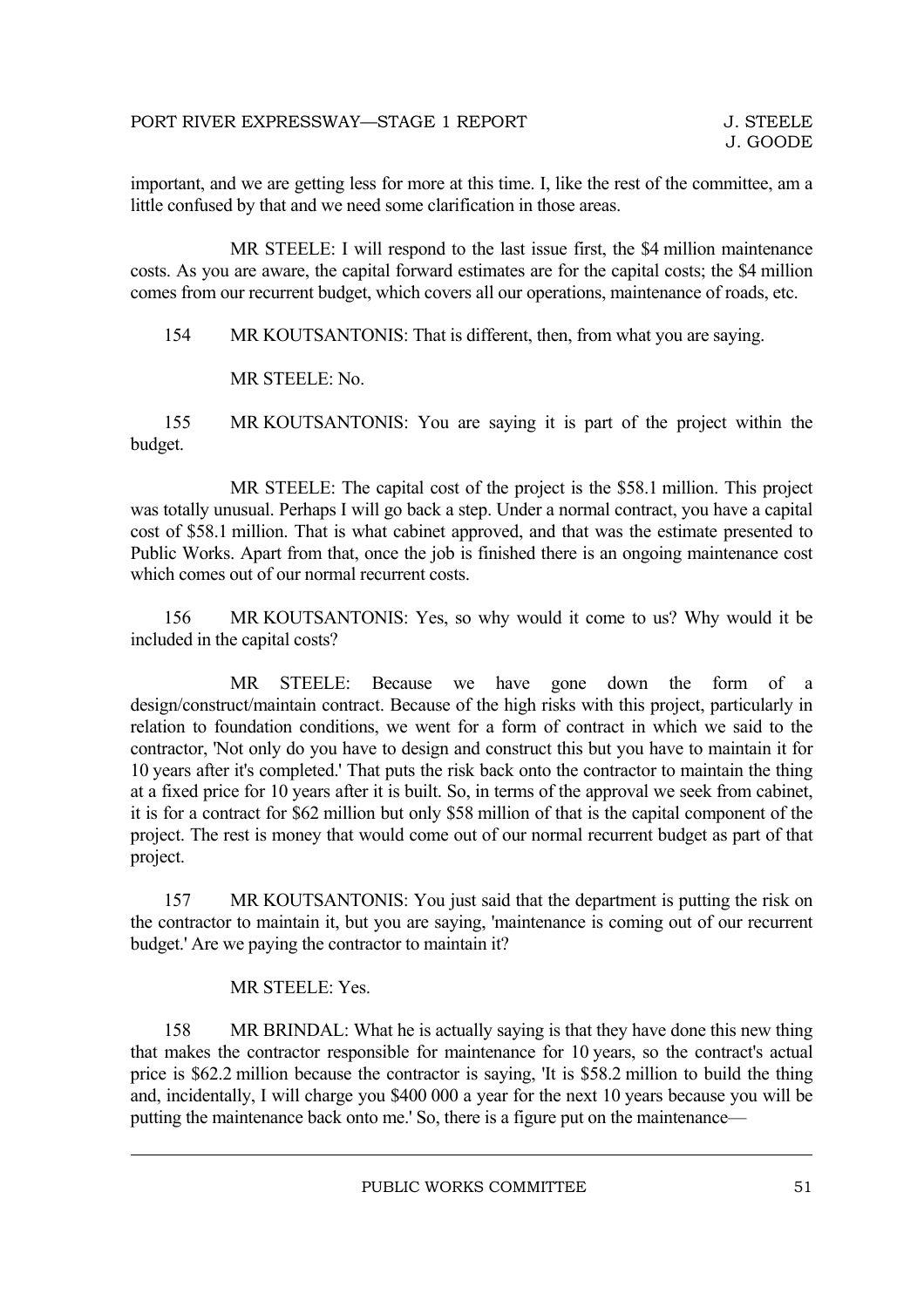important, and we are getting less for more at this time. I, like the rest of the committee, am a little confused by that and we need some clarification in those areas.

MR STEELE: I will respond to the last issue first, the \$4 million maintenance costs. As you are aware, the capital forward estimates are for the capital costs; the \$4 million comes from our recurrent budget, which covers all our operations, maintenance of roads, etc.

154 MR KOUTSANTONIS: That is different, then, from what you are saying.

MR STEELE: No.

155 MR KOUTSANTONIS: You are saying it is part of the project within the budget.

MR STEELE: The capital cost of the project is the \$58.1 million. This project was totally unusual. Perhaps I will go back a step. Under a normal contract, you have a capital cost of \$58.1 million. That is what cabinet approved, and that was the estimate presented to Public Works. Apart from that, once the job is finished there is an ongoing maintenance cost which comes out of our normal recurrent costs.

156 MR KOUTSANTONIS: Yes, so why would it come to us? Why would it be included in the capital costs?

MR STEELE: Because we have gone down the form of a design/construct/maintain contract. Because of the high risks with this project, particularly in relation to foundation conditions, we went for a form of contract in which we said to the contractor, 'Not only do you have to design and construct this but you have to maintain it for 10 years after it's completed.' That puts the risk back onto the contractor to maintain the thing at a fixed price for 10 years after it is built. So, in terms of the approval we seek from cabinet, it is for a contract for \$62 million but only \$58 million of that is the capital component of the project. The rest is money that would come out of our normal recurrent budget as part of that project.

157 MR KOUTSANTONIS: You just said that the department is putting the risk on the contractor to maintain it, but you are saying, 'maintenance is coming out of our recurrent budget.' Are we paying the contractor to maintain it?

#### MR STEELE: Yes.

158 MR BRINDAL: What he is actually saying is that they have done this new thing that makes the contractor responsible for maintenance for 10 years, so the contract's actual price is \$62.2 million because the contractor is saying, 'It is \$58.2 million to build the thing and, incidentally, I will charge you \$400 000 a year for the next 10 years because you will be putting the maintenance back onto me.' So, there is a figure put on the maintenance—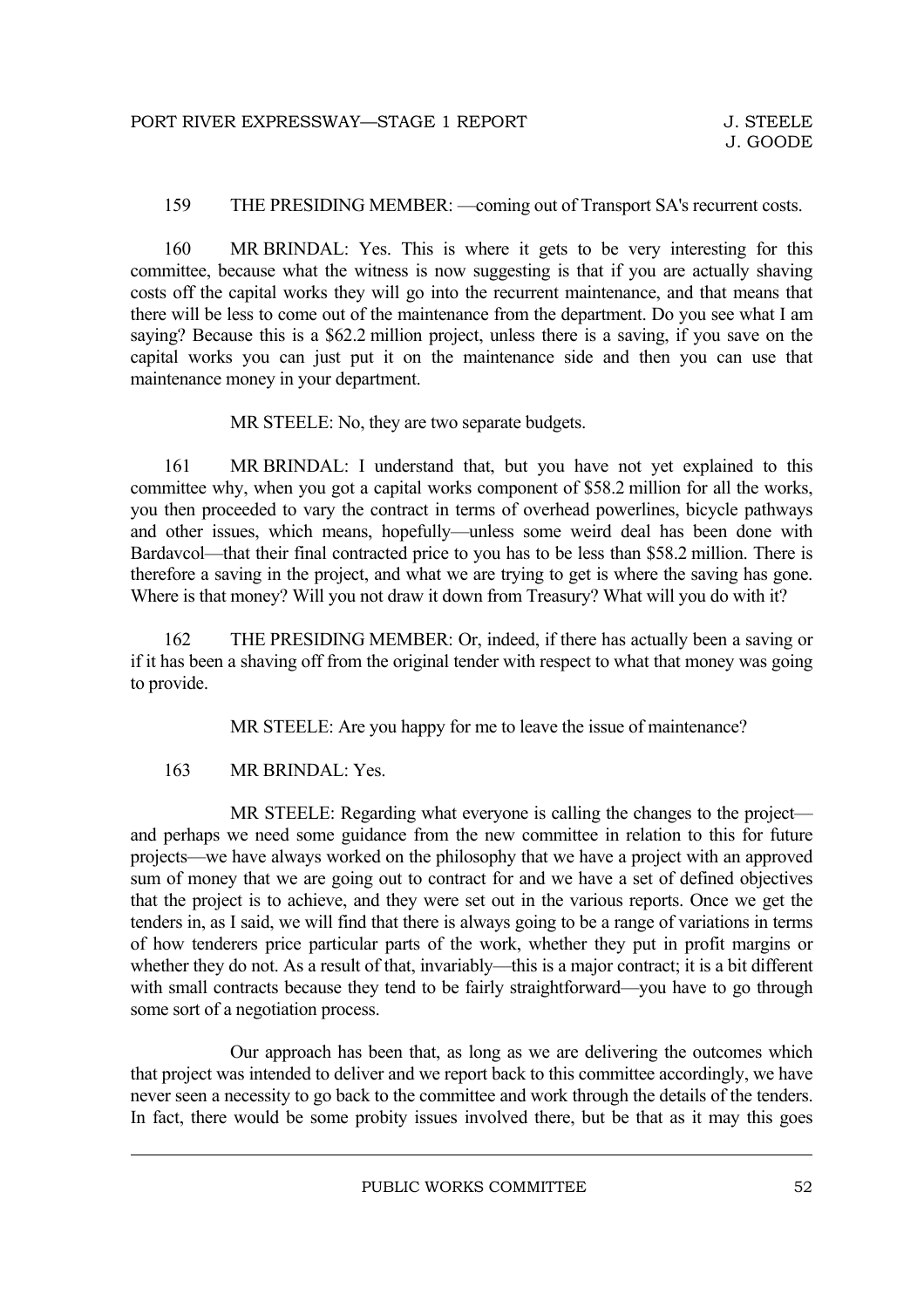#### 159 THE PRESIDING MEMBER: —coming out of Transport SA's recurrent costs.

160 MR BRINDAL: Yes. This is where it gets to be very interesting for this committee, because what the witness is now suggesting is that if you are actually shaving costs off the capital works they will go into the recurrent maintenance, and that means that there will be less to come out of the maintenance from the department. Do you see what I am saying? Because this is a \$62.2 million project, unless there is a saving, if you save on the capital works you can just put it on the maintenance side and then you can use that maintenance money in your department.

MR STEELE: No, they are two separate budgets.

161 MR BRINDAL: I understand that, but you have not yet explained to this committee why, when you got a capital works component of \$58.2 million for all the works, you then proceeded to vary the contract in terms of overhead powerlines, bicycle pathways and other issues, which means, hopefully—unless some weird deal has been done with Bardavcol—that their final contracted price to you has to be less than \$58.2 million. There is therefore a saving in the project, and what we are trying to get is where the saving has gone. Where is that money? Will you not draw it down from Treasury? What will you do with it?

162 THE PRESIDING MEMBER: Or, indeed, if there has actually been a saving or if it has been a shaving off from the original tender with respect to what that money was going to provide.

MR STEELE: Are you happy for me to leave the issue of maintenance?

#### 163 MR BRINDAL: Yes.

MR STEELE: Regarding what everyone is calling the changes to the project and perhaps we need some guidance from the new committee in relation to this for future projects—we have always worked on the philosophy that we have a project with an approved sum of money that we are going out to contract for and we have a set of defined objectives that the project is to achieve, and they were set out in the various reports. Once we get the tenders in, as I said, we will find that there is always going to be a range of variations in terms of how tenderers price particular parts of the work, whether they put in profit margins or whether they do not. As a result of that, invariably—this is a major contract; it is a bit different with small contracts because they tend to be fairly straightforward—you have to go through some sort of a negotiation process.

Our approach has been that, as long as we are delivering the outcomes which that project was intended to deliver and we report back to this committee accordingly, we have never seen a necessity to go back to the committee and work through the details of the tenders. In fact, there would be some probity issues involved there, but be that as it may this goes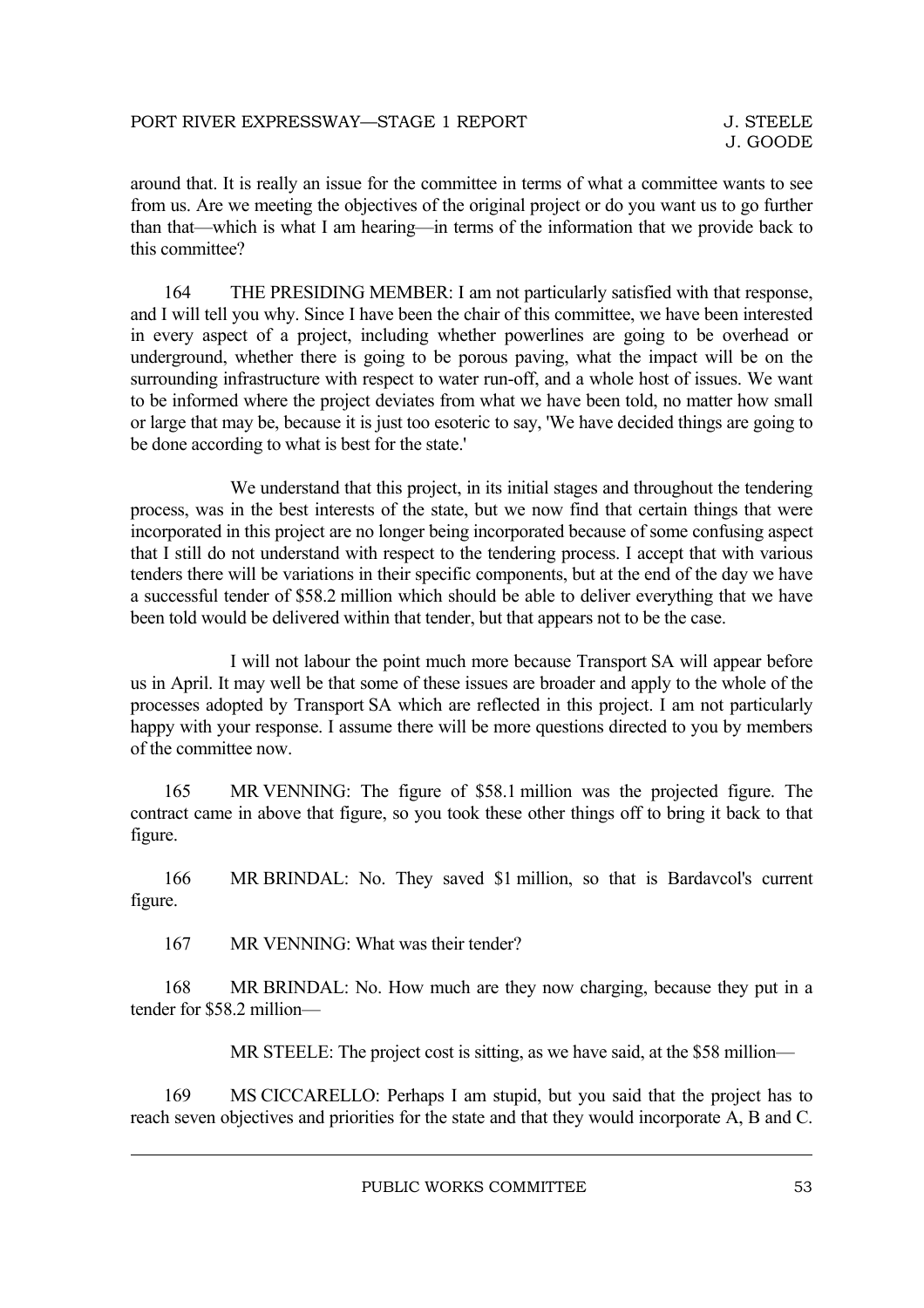around that. It is really an issue for the committee in terms of what a committee wants to see from us. Are we meeting the objectives of the original project or do you want us to go further than that—which is what I am hearing—in terms of the information that we provide back to this committee?

164 THE PRESIDING MEMBER: I am not particularly satisfied with that response, and I will tell you why. Since I have been the chair of this committee, we have been interested in every aspect of a project, including whether powerlines are going to be overhead or underground, whether there is going to be porous paving, what the impact will be on the surrounding infrastructure with respect to water run-off, and a whole host of issues. We want to be informed where the project deviates from what we have been told, no matter how small or large that may be, because it is just too esoteric to say, 'We have decided things are going to be done according to what is best for the state.'

We understand that this project, in its initial stages and throughout the tendering process, was in the best interests of the state, but we now find that certain things that were incorporated in this project are no longer being incorporated because of some confusing aspect that I still do not understand with respect to the tendering process. I accept that with various tenders there will be variations in their specific components, but at the end of the day we have a successful tender of \$58.2 million which should be able to deliver everything that we have been told would be delivered within that tender, but that appears not to be the case.

I will not labour the point much more because Transport SA will appear before us in April. It may well be that some of these issues are broader and apply to the whole of the processes adopted by Transport SA which are reflected in this project. I am not particularly happy with your response. I assume there will be more questions directed to you by members of the committee now.

165 MR VENNING: The figure of \$58.1 million was the projected figure. The contract came in above that figure, so you took these other things off to bring it back to that figure.

166 MR BRINDAL: No. They saved \$1 million, so that is Bardavcol's current figure.

167 MR VENNING: What was their tender?

168 MR BRINDAL: No. How much are they now charging, because they put in a tender for \$58.2 million—

MR STEELE: The project cost is sitting, as we have said, at the \$58 million—

169 MS CICCARELLO: Perhaps I am stupid, but you said that the project has to reach seven objectives and priorities for the state and that they would incorporate A, B and C.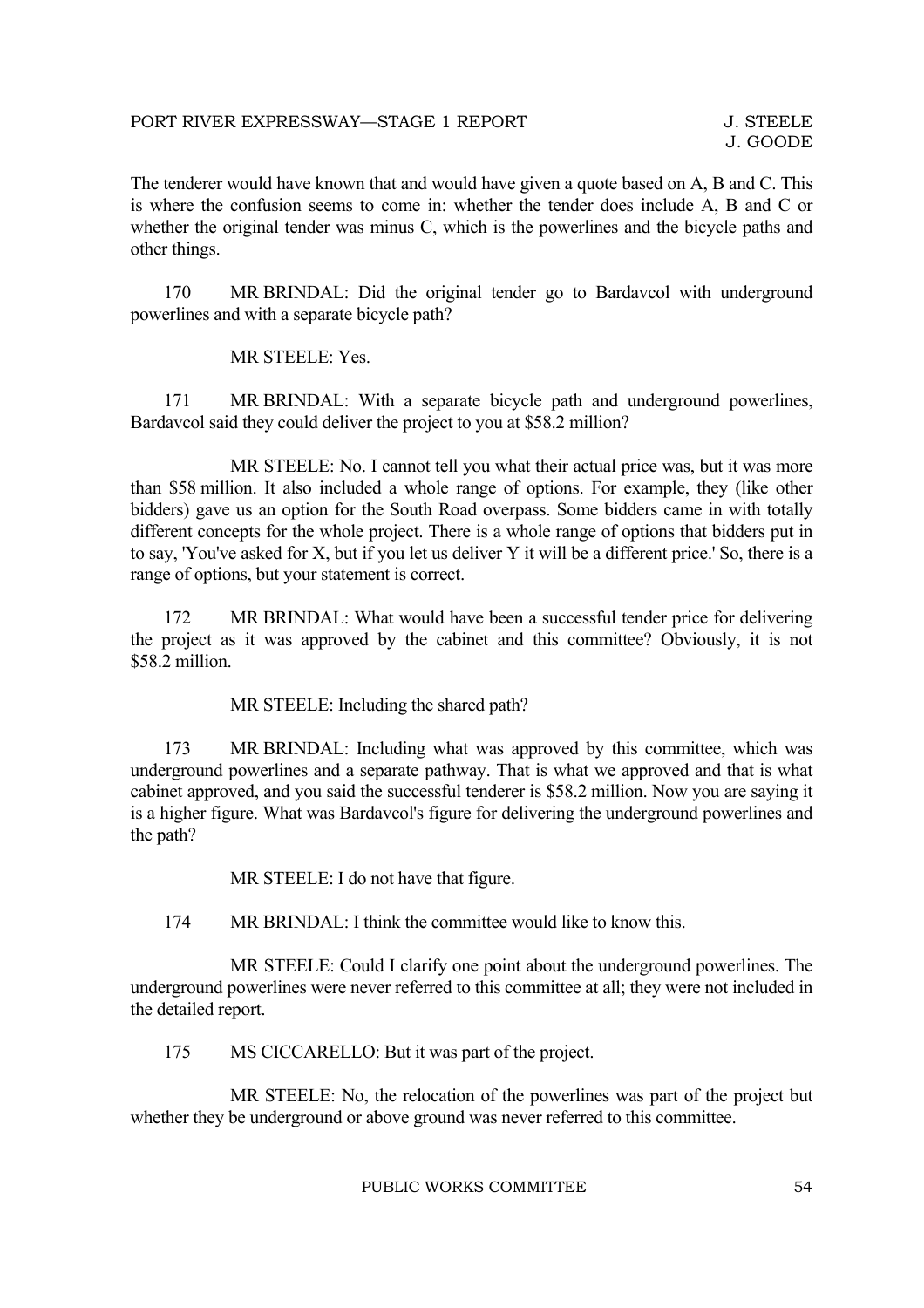The tenderer would have known that and would have given a quote based on A, B and C. This is where the confusion seems to come in: whether the tender does include A, B and C or whether the original tender was minus C, which is the powerlines and the bicycle paths and other things.

170 MR BRINDAL: Did the original tender go to Bardavcol with underground powerlines and with a separate bicycle path?

MR STEELE: Yes.

171 MR BRINDAL: With a separate bicycle path and underground powerlines, Bardavcol said they could deliver the project to you at \$58.2 million?

MR STEELE: No. I cannot tell you what their actual price was, but it was more than \$58 million. It also included a whole range of options. For example, they (like other bidders) gave us an option for the South Road overpass. Some bidders came in with totally different concepts for the whole project. There is a whole range of options that bidders put in to say, 'You've asked for X, but if you let us deliver Y it will be a different price.' So, there is a range of options, but your statement is correct.

172 MR BRINDAL: What would have been a successful tender price for delivering the project as it was approved by the cabinet and this committee? Obviously, it is not \$58.2 million.

MR STEELE: Including the shared path?

173 MR BRINDAL: Including what was approved by this committee, which was underground powerlines and a separate pathway. That is what we approved and that is what cabinet approved, and you said the successful tenderer is \$58.2 million. Now you are saying it is a higher figure. What was Bardavcol's figure for delivering the underground powerlines and the path?

MR STEELE: I do not have that figure.

174 MR BRINDAL: I think the committee would like to know this.

MR STEELE: Could I clarify one point about the underground powerlines. The underground powerlines were never referred to this committee at all; they were not included in the detailed report.

175 MS CICCARELLO: But it was part of the project.

MR STEELE: No, the relocation of the powerlines was part of the project but whether they be underground or above ground was never referred to this committee.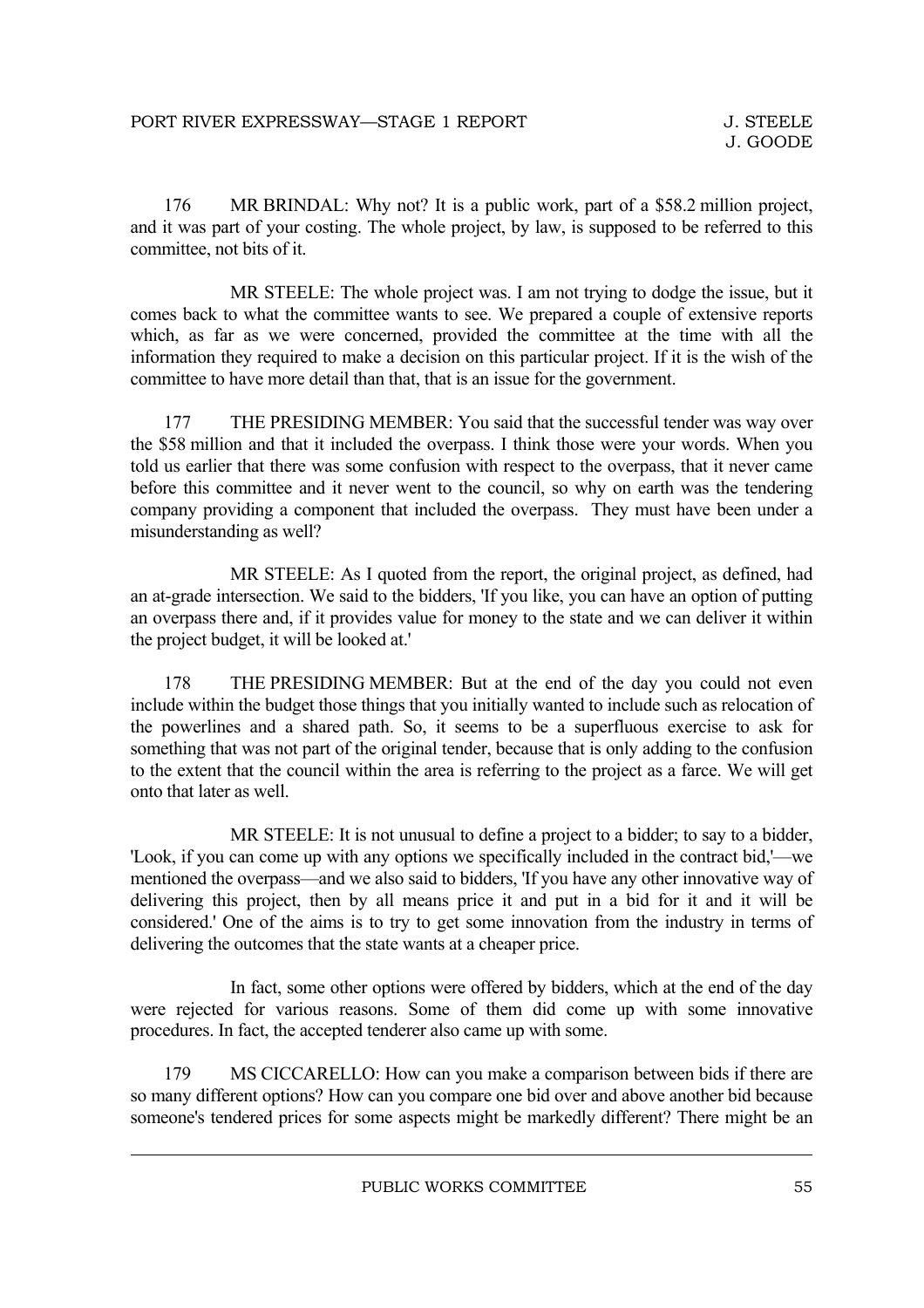176 MR BRINDAL: Why not? It is a public work, part of a \$58.2 million project, and it was part of your costing. The whole project, by law, is supposed to be referred to this committee, not bits of it.

MR STEELE: The whole project was. I am not trying to dodge the issue, but it comes back to what the committee wants to see. We prepared a couple of extensive reports which, as far as we were concerned, provided the committee at the time with all the information they required to make a decision on this particular project. If it is the wish of the committee to have more detail than that, that is an issue for the government.

177 THE PRESIDING MEMBER: You said that the successful tender was way over the \$58 million and that it included the overpass. I think those were your words. When you told us earlier that there was some confusion with respect to the overpass, that it never came before this committee and it never went to the council, so why on earth was the tendering company providing a component that included the overpass. They must have been under a misunderstanding as well?

MR STEELE: As I quoted from the report, the original project, as defined, had an at-grade intersection. We said to the bidders, 'If you like, you can have an option of putting an overpass there and, if it provides value for money to the state and we can deliver it within the project budget, it will be looked at.'

178 THE PRESIDING MEMBER: But at the end of the day you could not even include within the budget those things that you initially wanted to include such as relocation of the powerlines and a shared path. So, it seems to be a superfluous exercise to ask for something that was not part of the original tender, because that is only adding to the confusion to the extent that the council within the area is referring to the project as a farce. We will get onto that later as well.

MR STEELE: It is not unusual to define a project to a bidder; to say to a bidder, 'Look, if you can come up with any options we specifically included in the contract bid,'—we mentioned the overpass—and we also said to bidders, 'If you have any other innovative way of delivering this project, then by all means price it and put in a bid for it and it will be considered.' One of the aims is to try to get some innovation from the industry in terms of delivering the outcomes that the state wants at a cheaper price.

In fact, some other options were offered by bidders, which at the end of the day were rejected for various reasons. Some of them did come up with some innovative procedures. In fact, the accepted tenderer also came up with some.

179 MS CICCARELLO: How can you make a comparison between bids if there are so many different options? How can you compare one bid over and above another bid because someone's tendered prices for some aspects might be markedly different? There might be an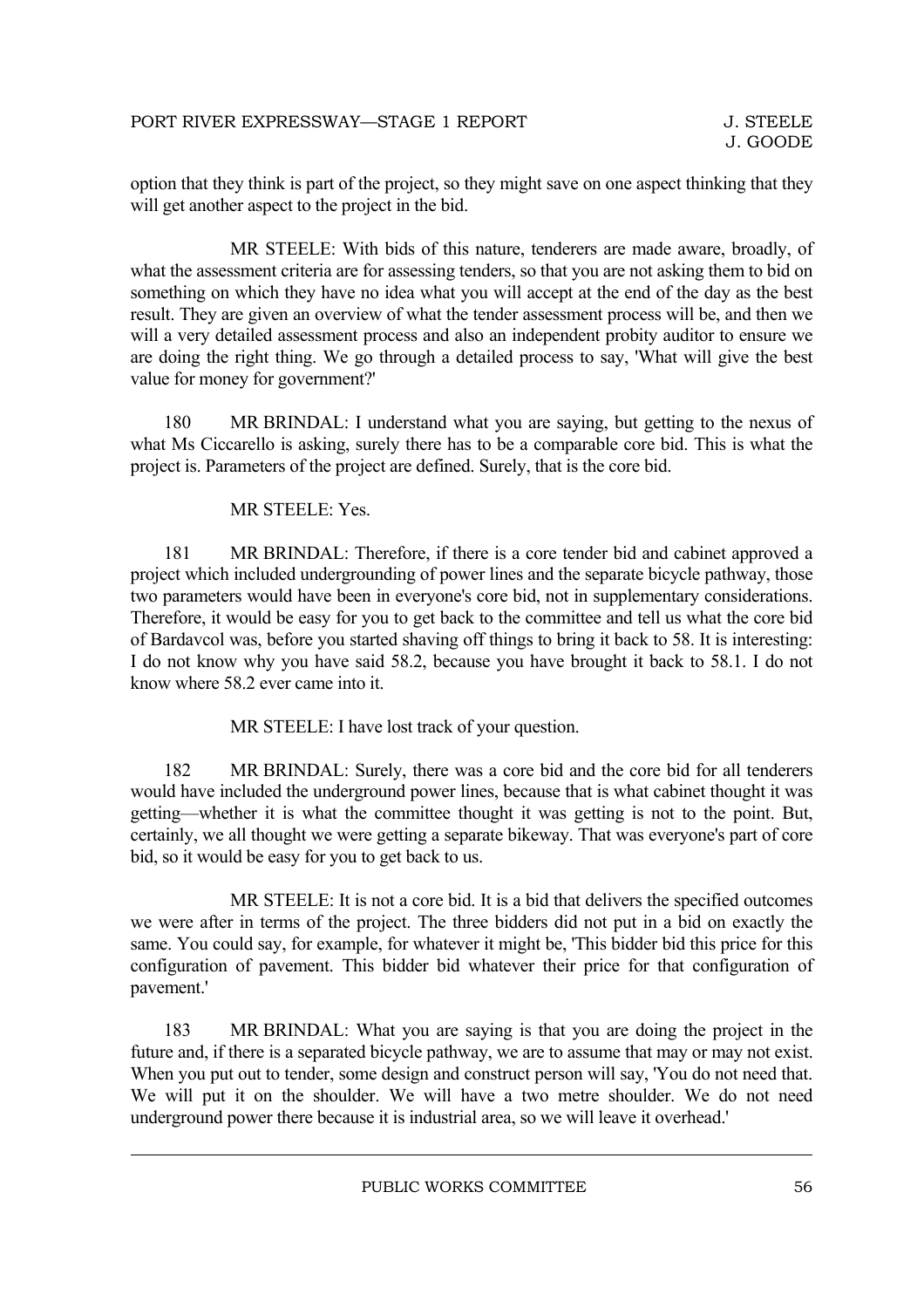option that they think is part of the project, so they might save on one aspect thinking that they will get another aspect to the project in the bid.

MR STEELE: With bids of this nature, tenderers are made aware, broadly, of what the assessment criteria are for assessing tenders, so that you are not asking them to bid on something on which they have no idea what you will accept at the end of the day as the best result. They are given an overview of what the tender assessment process will be, and then we will a very detailed assessment process and also an independent probity auditor to ensure we are doing the right thing. We go through a detailed process to say, 'What will give the best value for money for government?'

180 MR BRINDAL: I understand what you are saying, but getting to the nexus of what Ms Ciccarello is asking, surely there has to be a comparable core bid. This is what the project is. Parameters of the project are defined. Surely, that is the core bid.

MR STEELE: Yes.

181 MR BRINDAL: Therefore, if there is a core tender bid and cabinet approved a project which included undergrounding of power lines and the separate bicycle pathway, those two parameters would have been in everyone's core bid, not in supplementary considerations. Therefore, it would be easy for you to get back to the committee and tell us what the core bid of Bardavcol was, before you started shaving off things to bring it back to 58. It is interesting: I do not know why you have said 58.2, because you have brought it back to 58.1. I do not know where 58.2 ever came into it.

MR STEELE: I have lost track of your question.

182 MR BRINDAL: Surely, there was a core bid and the core bid for all tenderers would have included the underground power lines, because that is what cabinet thought it was getting—whether it is what the committee thought it was getting is not to the point. But, certainly, we all thought we were getting a separate bikeway. That was everyone's part of core bid, so it would be easy for you to get back to us.

MR STEELE: It is not a core bid. It is a bid that delivers the specified outcomes we were after in terms of the project. The three bidders did not put in a bid on exactly the same. You could say, for example, for whatever it might be, 'This bidder bid this price for this configuration of pavement. This bidder bid whatever their price for that configuration of pavement.'

183 MR BRINDAL: What you are saying is that you are doing the project in the future and, if there is a separated bicycle pathway, we are to assume that may or may not exist. When you put out to tender, some design and construct person will say, 'You do not need that. We will put it on the shoulder. We will have a two metre shoulder. We do not need underground power there because it is industrial area, so we will leave it overhead.'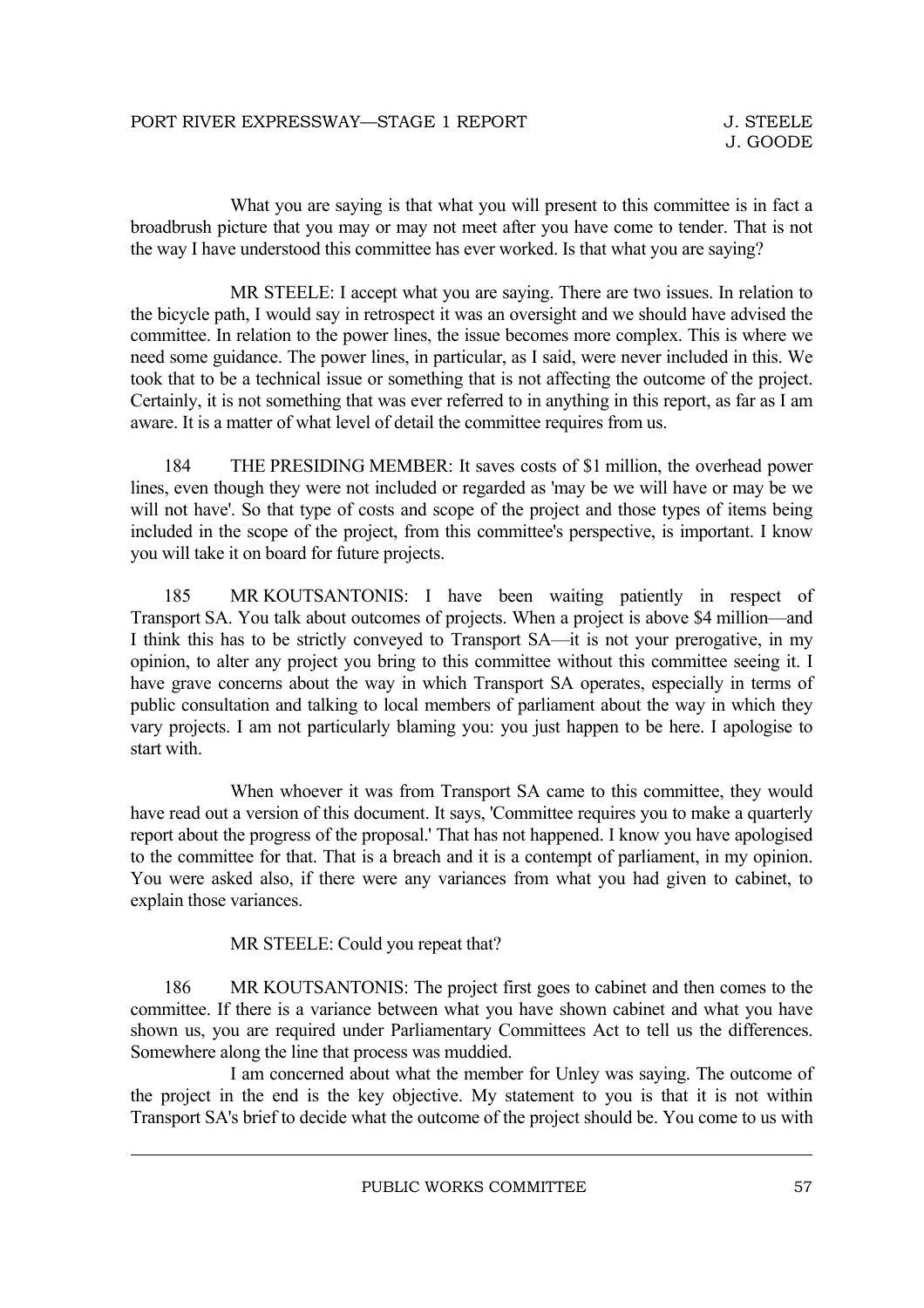What you are saying is that what you will present to this committee is in fact a broadbrush picture that you may or may not meet after you have come to tender. That is not the way I have understood this committee has ever worked. Is that what you are saying?

MR STEELE: I accept what you are saying. There are two issues. In relation to the bicycle path, I would say in retrospect it was an oversight and we should have advised the committee. In relation to the power lines, the issue becomes more complex. This is where we need some guidance. The power lines, in particular, as I said, were never included in this. We took that to be a technical issue or something that is not affecting the outcome of the project. Certainly, it is not something that was ever referred to in anything in this report, as far as I am aware. It is a matter of what level of detail the committee requires from us.

184 THE PRESIDING MEMBER: It saves costs of \$1 million, the overhead power lines, even though they were not included or regarded as 'may be we will have or may be we will not have'. So that type of costs and scope of the project and those types of items being included in the scope of the project, from this committee's perspective, is important. I know you will take it on board for future projects.

185 MR KOUTSANTONIS: I have been waiting patiently in respect of Transport SA. You talk about outcomes of projects. When a project is above \$4 million—and I think this has to be strictly conveyed to Transport SA—it is not your prerogative, in my opinion, to alter any project you bring to this committee without this committee seeing it. I have grave concerns about the way in which Transport SA operates, especially in terms of public consultation and talking to local members of parliament about the way in which they vary projects. I am not particularly blaming you: you just happen to be here. I apologise to start with.

When whoever it was from Transport SA came to this committee, they would have read out a version of this document. It says, 'Committee requires you to make a quarterly report about the progress of the proposal.' That has not happened. I know you have apologised to the committee for that. That is a breach and it is a contempt of parliament, in my opinion. You were asked also, if there were any variances from what you had given to cabinet, to explain those variances.

MR STEELE: Could you repeat that?

186 MR KOUTSANTONIS: The project first goes to cabinet and then comes to the committee. If there is a variance between what you have shown cabinet and what you have shown us, you are required under Parliamentary Committees Act to tell us the differences. Somewhere along the line that process was muddied.

I am concerned about what the member for Unley was saying. The outcome of the project in the end is the key objective. My statement to you is that it is not within Transport SA's brief to decide what the outcome of the project should be. You come to us with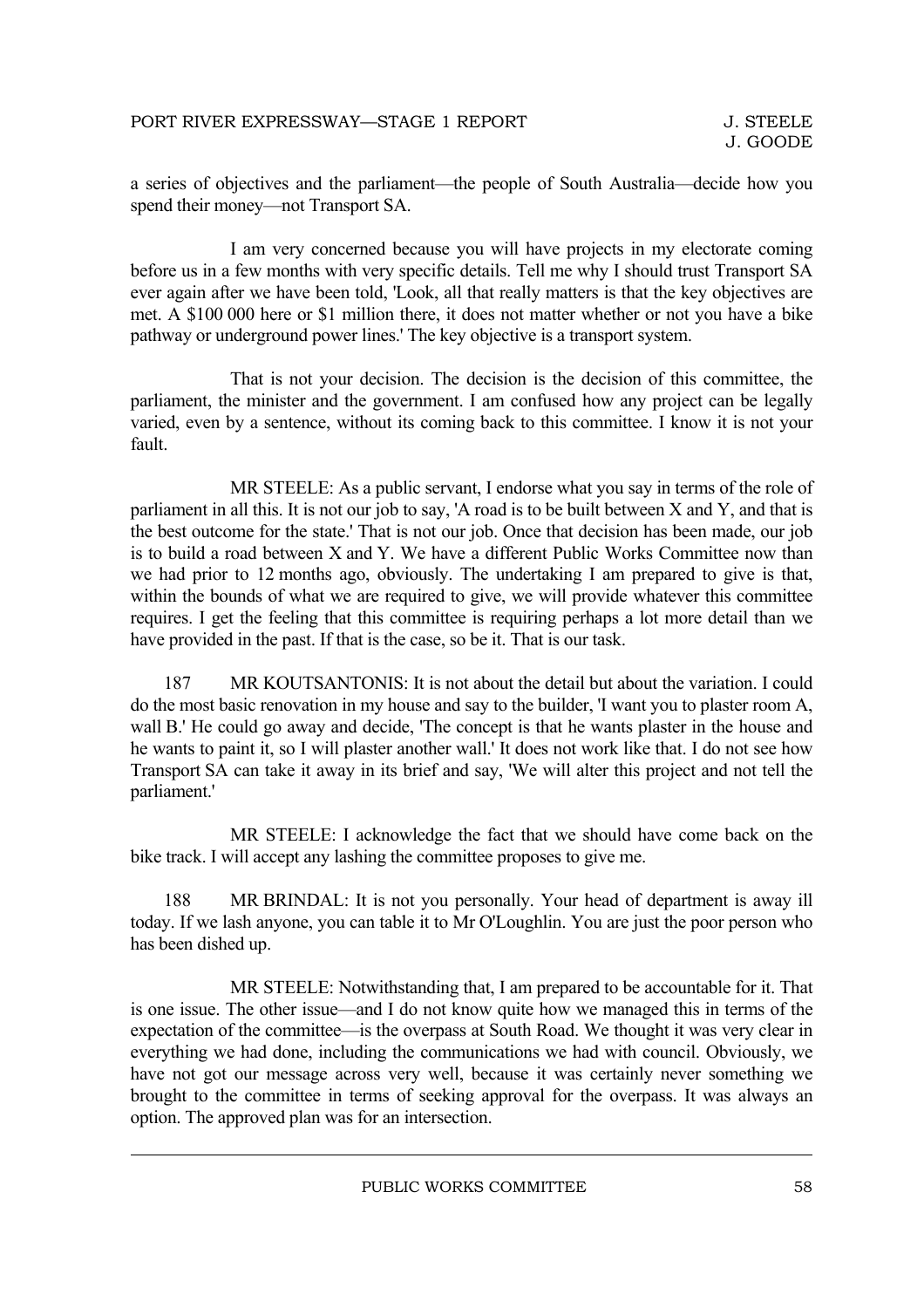a series of objectives and the parliament—the people of South Australia—decide how you spend their money—not Transport SA.

I am very concerned because you will have projects in my electorate coming before us in a few months with very specific details. Tell me why I should trust Transport SA ever again after we have been told, 'Look, all that really matters is that the key objectives are met. A \$100 000 here or \$1 million there, it does not matter whether or not you have a bike pathway or underground power lines.' The key objective is a transport system.

That is not your decision. The decision is the decision of this committee, the parliament, the minister and the government. I am confused how any project can be legally varied, even by a sentence, without its coming back to this committee. I know it is not your fault.

MR STEELE: As a public servant, I endorse what you say in terms of the role of parliament in all this. It is not our job to say, 'A road is to be built between X and Y, and that is the best outcome for the state.' That is not our job. Once that decision has been made, our job is to build a road between X and Y. We have a different Public Works Committee now than we had prior to 12 months ago, obviously. The undertaking I am prepared to give is that, within the bounds of what we are required to give, we will provide whatever this committee requires. I get the feeling that this committee is requiring perhaps a lot more detail than we have provided in the past. If that is the case, so be it. That is our task.

187 MR KOUTSANTONIS: It is not about the detail but about the variation. I could do the most basic renovation in my house and say to the builder, 'I want you to plaster room A, wall B.' He could go away and decide, 'The concept is that he wants plaster in the house and he wants to paint it, so I will plaster another wall.' It does not work like that. I do not see how Transport SA can take it away in its brief and say, 'We will alter this project and not tell the parliament.'

MR STEELE: I acknowledge the fact that we should have come back on the bike track. I will accept any lashing the committee proposes to give me.

188 MR BRINDAL: It is not you personally. Your head of department is away ill today. If we lash anyone, you can table it to Mr O'Loughlin. You are just the poor person who has been dished up.

MR STEELE: Notwithstanding that, I am prepared to be accountable for it. That is one issue. The other issue—and I do not know quite how we managed this in terms of the expectation of the committee—is the overpass at South Road. We thought it was very clear in everything we had done, including the communications we had with council. Obviously, we have not got our message across very well, because it was certainly never something we brought to the committee in terms of seeking approval for the overpass. It was always an option. The approved plan was for an intersection.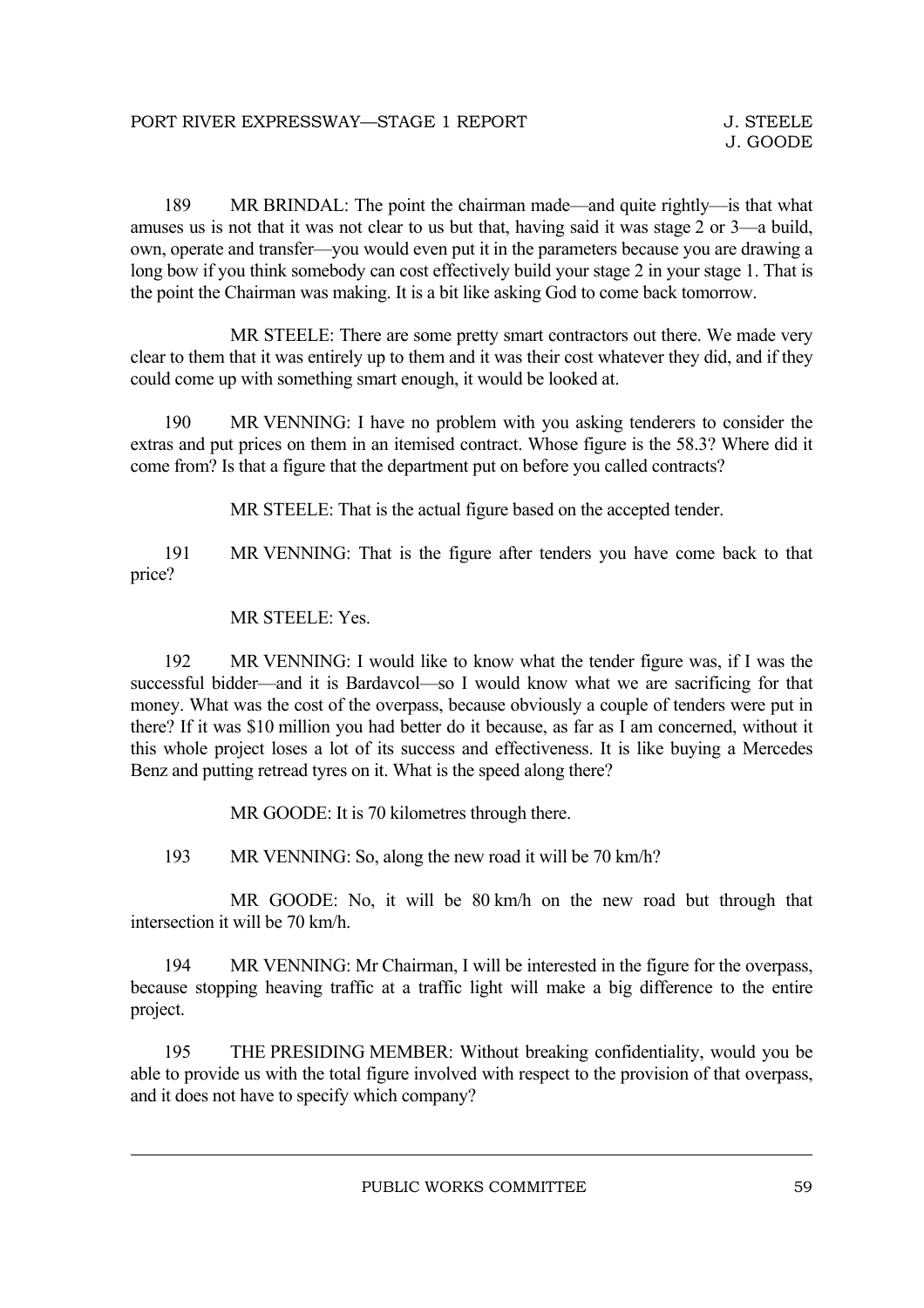189 MR BRINDAL: The point the chairman made—and quite rightly—is that what amuses us is not that it was not clear to us but that, having said it was stage 2 or 3—a build, own, operate and transfer—you would even put it in the parameters because you are drawing a long bow if you think somebody can cost effectively build your stage 2 in your stage 1. That is the point the Chairman was making. It is a bit like asking God to come back tomorrow.

MR STEELE: There are some pretty smart contractors out there. We made very clear to them that it was entirely up to them and it was their cost whatever they did, and if they could come up with something smart enough, it would be looked at.

190 MR VENNING: I have no problem with you asking tenderers to consider the extras and put prices on them in an itemised contract. Whose figure is the 58.3? Where did it come from? Is that a figure that the department put on before you called contracts?

MR STEELE: That is the actual figure based on the accepted tender.

191 MR VENNING: That is the figure after tenders you have come back to that price?

#### MR STEELE: Yes.

192 MR VENNING: I would like to know what the tender figure was, if I was the successful bidder—and it is Bardavcol—so I would know what we are sacrificing for that money. What was the cost of the overpass, because obviously a couple of tenders were put in there? If it was \$10 million you had better do it because, as far as I am concerned, without it this whole project loses a lot of its success and effectiveness. It is like buying a Mercedes Benz and putting retread tyres on it. What is the speed along there?

MR GOODE: It is 70 kilometres through there.

193 MR VENNING: So, along the new road it will be 70 km/h?

MR GOODE: No, it will be 80 km/h on the new road but through that intersection it will be 70 km/h.

194 MR VENNING: Mr Chairman, I will be interested in the figure for the overpass, because stopping heaving traffic at a traffic light will make a big difference to the entire project.

195 THE PRESIDING MEMBER: Without breaking confidentiality, would you be able to provide us with the total figure involved with respect to the provision of that overpass, and it does not have to specify which company?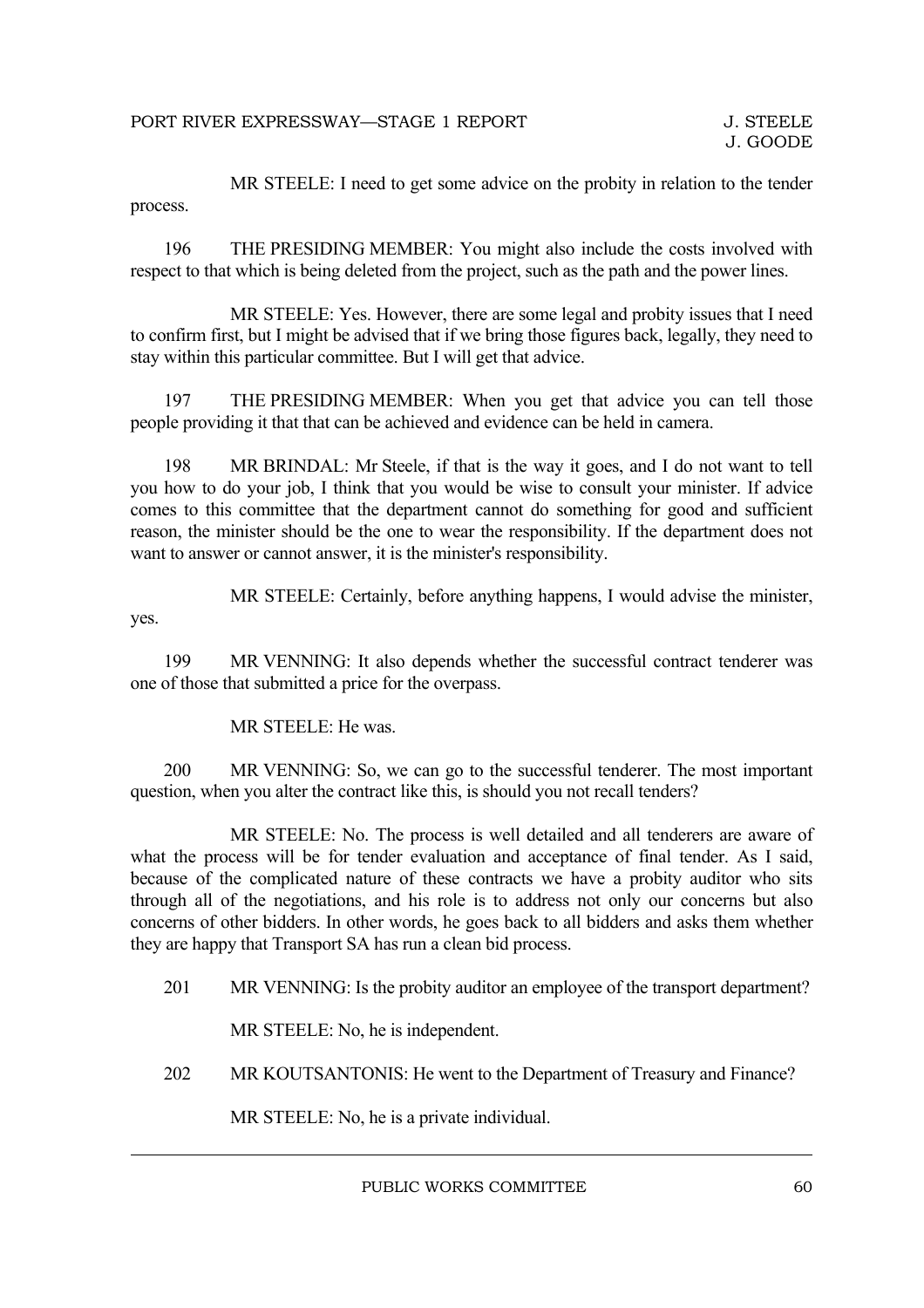MR STEELE: I need to get some advice on the probity in relation to the tender process.

196 THE PRESIDING MEMBER: You might also include the costs involved with respect to that which is being deleted from the project, such as the path and the power lines.

MR STEELE: Yes. However, there are some legal and probity issues that I need to confirm first, but I might be advised that if we bring those figures back, legally, they need to stay within this particular committee. But I will get that advice.

197 THE PRESIDING MEMBER: When you get that advice you can tell those people providing it that that can be achieved and evidence can be held in camera.

198 MR BRINDAL: Mr Steele, if that is the way it goes, and I do not want to tell you how to do your job, I think that you would be wise to consult your minister. If advice comes to this committee that the department cannot do something for good and sufficient reason, the minister should be the one to wear the responsibility. If the department does not want to answer or cannot answer, it is the minister's responsibility.

MR STEELE: Certainly, before anything happens, I would advise the minister, yes.

199 MR VENNING: It also depends whether the successful contract tenderer was one of those that submitted a price for the overpass.

MR STEELE: He was.

200 MR VENNING: So, we can go to the successful tenderer. The most important question, when you alter the contract like this, is should you not recall tenders?

MR STEELE: No. The process is well detailed and all tenderers are aware of what the process will be for tender evaluation and acceptance of final tender. As I said, because of the complicated nature of these contracts we have a probity auditor who sits through all of the negotiations, and his role is to address not only our concerns but also concerns of other bidders. In other words, he goes back to all bidders and asks them whether they are happy that Transport SA has run a clean bid process.

201 MR VENNING: Is the probity auditor an employee of the transport department?

MR STEELE: No, he is independent.

202 MR KOUTSANTONIS: He went to the Department of Treasury and Finance?

MR STEELE: No, he is a private individual.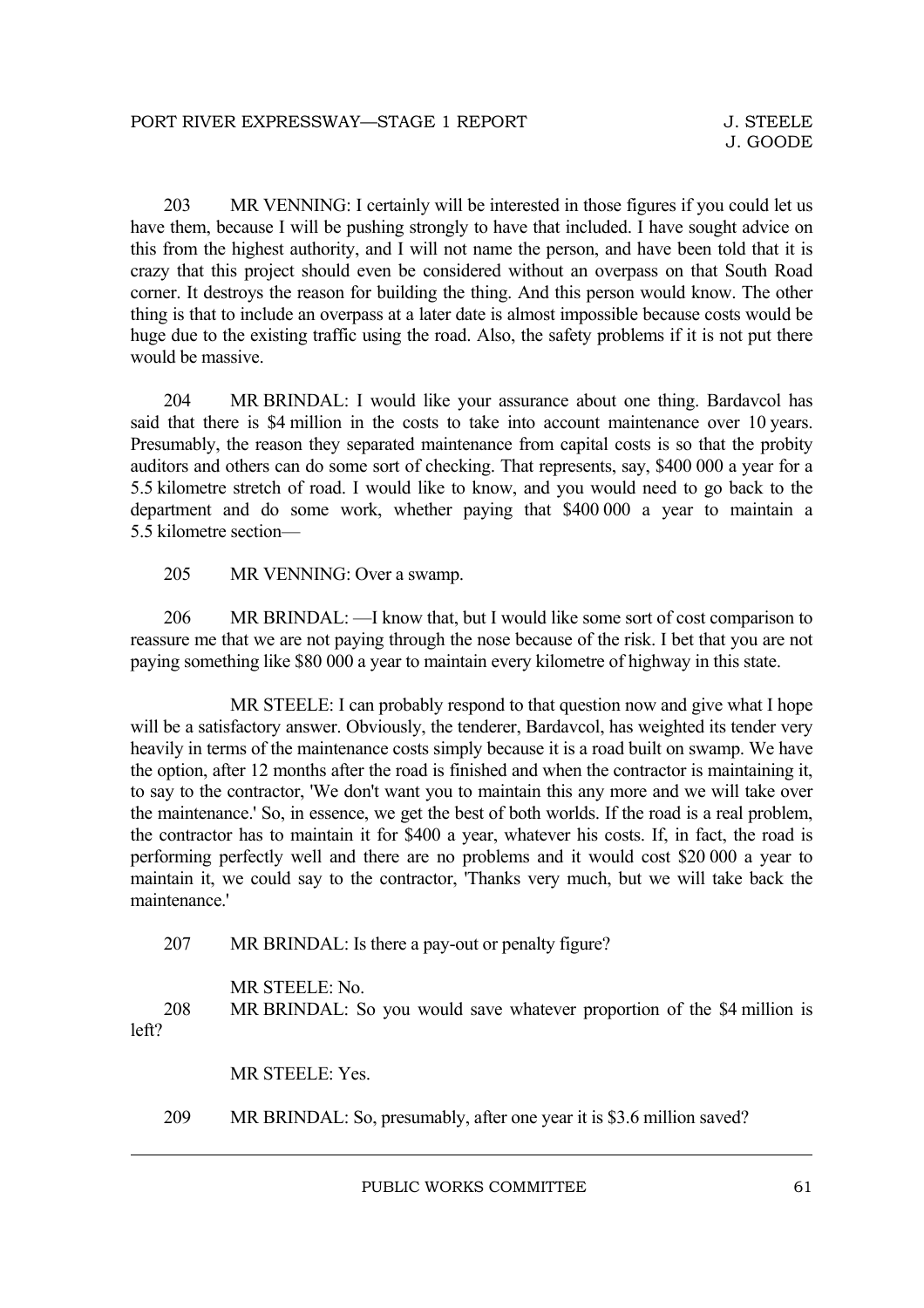203 MR VENNING: I certainly will be interested in those figures if you could let us have them, because I will be pushing strongly to have that included. I have sought advice on this from the highest authority, and I will not name the person, and have been told that it is crazy that this project should even be considered without an overpass on that South Road corner. It destroys the reason for building the thing. And this person would know. The other thing is that to include an overpass at a later date is almost impossible because costs would be huge due to the existing traffic using the road. Also, the safety problems if it is not put there would be massive.

204 MR BRINDAL: I would like your assurance about one thing. Bardavcol has said that there is \$4 million in the costs to take into account maintenance over 10 years. Presumably, the reason they separated maintenance from capital costs is so that the probity auditors and others can do some sort of checking. That represents, say, \$400 000 a year for a 5.5 kilometre stretch of road. I would like to know, and you would need to go back to the department and do some work, whether paying that \$400 000 a year to maintain a 5.5 kilometre section—

205 MR VENNING: Over a swamp.

206 MR BRINDAL: —I know that, but I would like some sort of cost comparison to reassure me that we are not paying through the nose because of the risk. I bet that you are not paying something like \$80 000 a year to maintain every kilometre of highway in this state.

MR STEELE: I can probably respond to that question now and give what I hope will be a satisfactory answer. Obviously, the tenderer, Bardavcol, has weighted its tender very heavily in terms of the maintenance costs simply because it is a road built on swamp. We have the option, after 12 months after the road is finished and when the contractor is maintaining it, to say to the contractor, 'We don't want you to maintain this any more and we will take over the maintenance.' So, in essence, we get the best of both worlds. If the road is a real problem, the contractor has to maintain it for \$400 a year, whatever his costs. If, in fact, the road is performing perfectly well and there are no problems and it would cost \$20 000 a year to maintain it, we could say to the contractor, 'Thanks very much, but we will take back the maintenance.'

207 MR BRINDAL: Is there a pay-out or penalty figure?

MR STEELE: No. 208 MR BRINDAL: So you would save whatever proportion of the \$4 million is left?

MR STEELE: Yes.

209 MR BRINDAL: So, presumably, after one year it is \$3.6 million saved?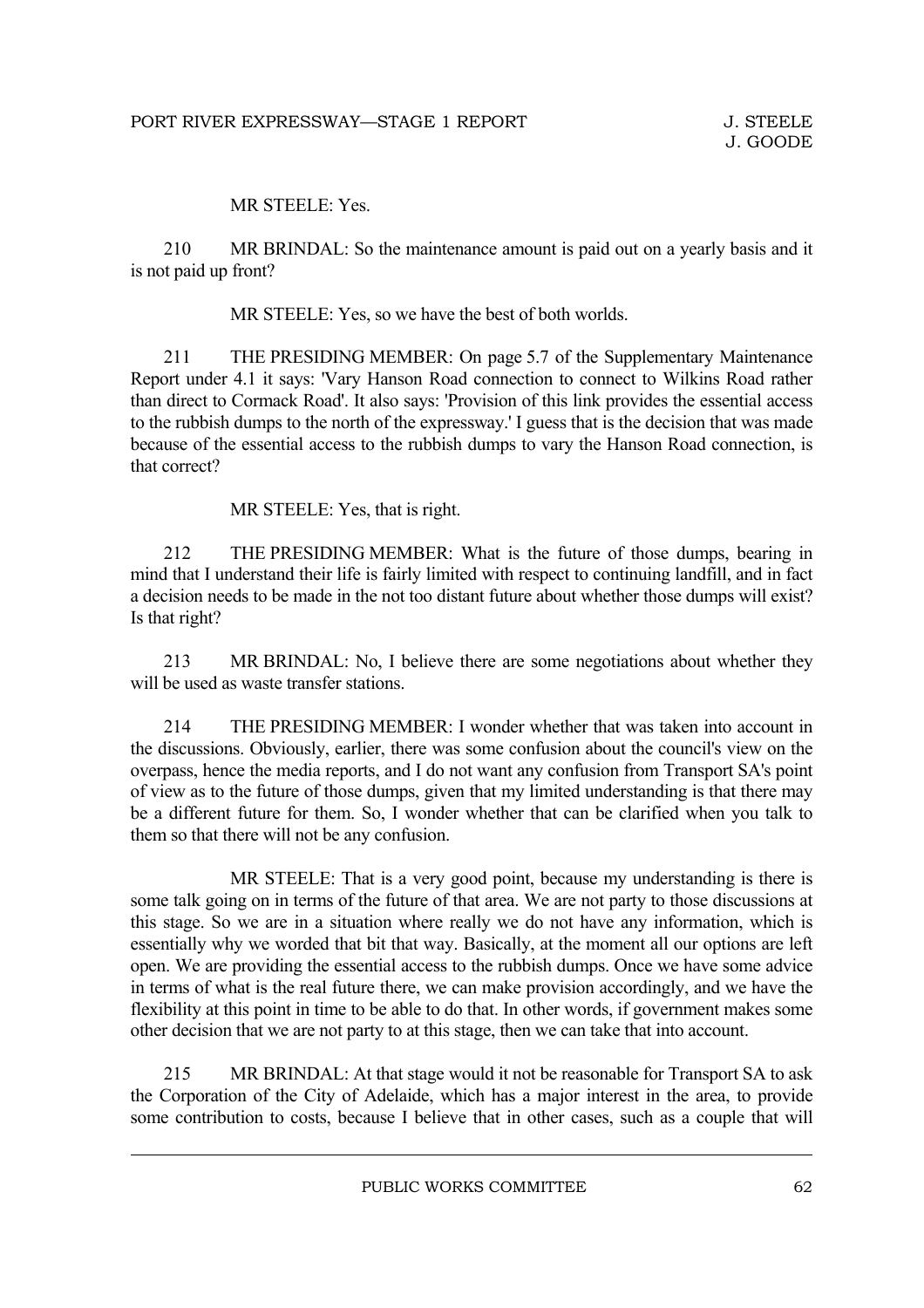#### MR STEELE: Yes.

210 MR BRINDAL: So the maintenance amount is paid out on a yearly basis and it is not paid up front?

MR STEELE: Yes, so we have the best of both worlds.

211 THE PRESIDING MEMBER: On page 5.7 of the Supplementary Maintenance Report under 4.1 it says: 'Vary Hanson Road connection to connect to Wilkins Road rather than direct to Cormack Road'. It also says: 'Provision of this link provides the essential access to the rubbish dumps to the north of the expressway.' I guess that is the decision that was made because of the essential access to the rubbish dumps to vary the Hanson Road connection, is that correct?

MR STEELE: Yes, that is right.

212 THE PRESIDING MEMBER: What is the future of those dumps, bearing in mind that I understand their life is fairly limited with respect to continuing landfill, and in fact a decision needs to be made in the not too distant future about whether those dumps will exist? Is that right?

213 MR BRINDAL: No, I believe there are some negotiations about whether they will be used as waste transfer stations.

214 THE PRESIDING MEMBER: I wonder whether that was taken into account in the discussions. Obviously, earlier, there was some confusion about the council's view on the overpass, hence the media reports, and I do not want any confusion from Transport SA's point of view as to the future of those dumps, given that my limited understanding is that there may be a different future for them. So, I wonder whether that can be clarified when you talk to them so that there will not be any confusion.

MR STEELE: That is a very good point, because my understanding is there is some talk going on in terms of the future of that area. We are not party to those discussions at this stage. So we are in a situation where really we do not have any information, which is essentially why we worded that bit that way. Basically, at the moment all our options are left open. We are providing the essential access to the rubbish dumps. Once we have some advice in terms of what is the real future there, we can make provision accordingly, and we have the flexibility at this point in time to be able to do that. In other words, if government makes some other decision that we are not party to at this stage, then we can take that into account.

215 MR BRINDAL: At that stage would it not be reasonable for Transport SA to ask the Corporation of the City of Adelaide, which has a major interest in the area, to provide some contribution to costs, because I believe that in other cases, such as a couple that will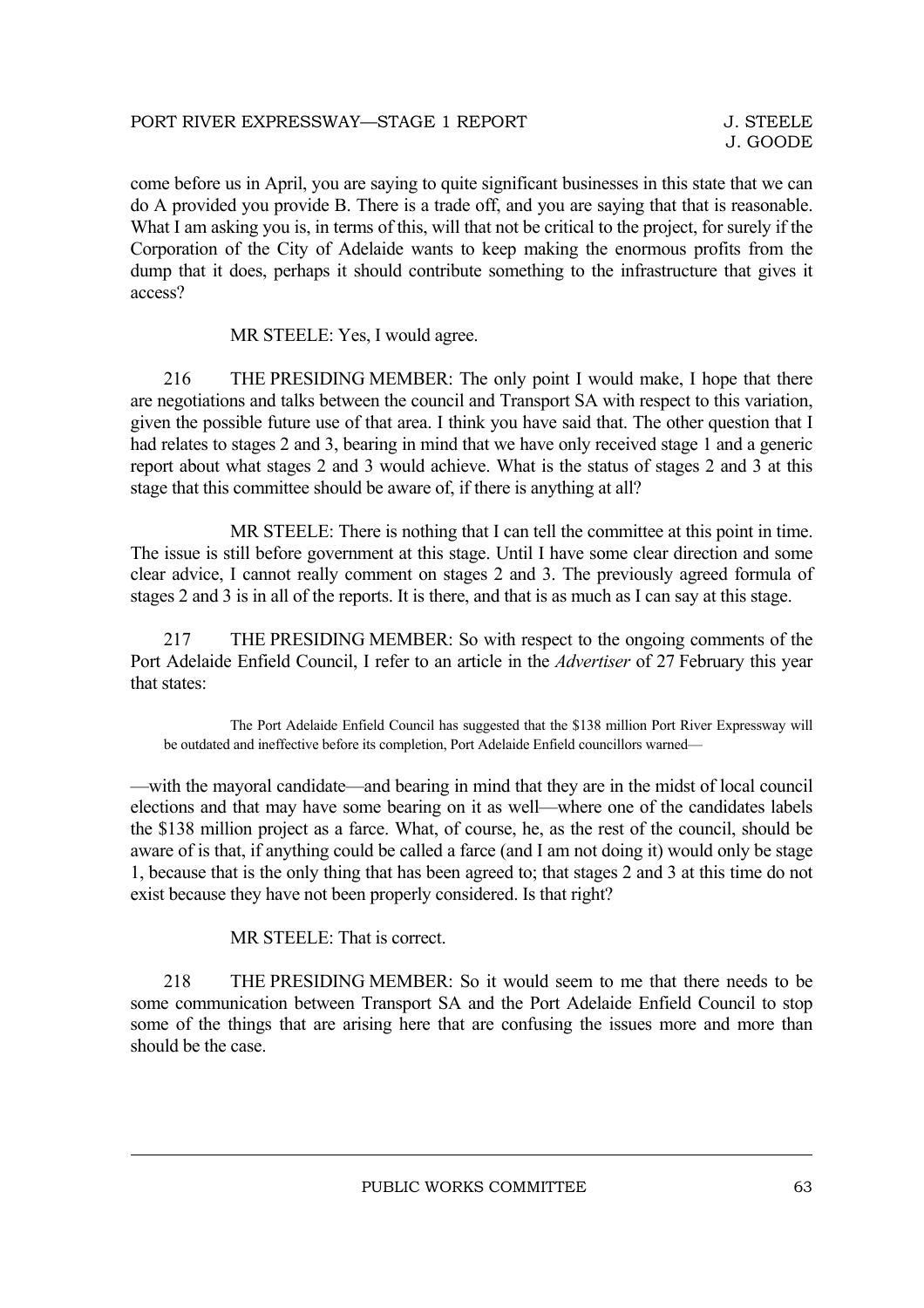come before us in April, you are saying to quite significant businesses in this state that we can do A provided you provide B. There is a trade off, and you are saying that that is reasonable. What I am asking you is, in terms of this, will that not be critical to the project, for surely if the Corporation of the City of Adelaide wants to keep making the enormous profits from the dump that it does, perhaps it should contribute something to the infrastructure that gives it access?

MR STEELE: Yes, I would agree.

216 THE PRESIDING MEMBER: The only point I would make, I hope that there are negotiations and talks between the council and Transport SA with respect to this variation, given the possible future use of that area. I think you have said that. The other question that I had relates to stages 2 and 3, bearing in mind that we have only received stage 1 and a generic report about what stages 2 and 3 would achieve. What is the status of stages 2 and 3 at this stage that this committee should be aware of, if there is anything at all?

MR STEELE: There is nothing that I can tell the committee at this point in time. The issue is still before government at this stage. Until I have some clear direction and some clear advice, I cannot really comment on stages 2 and 3. The previously agreed formula of stages 2 and 3 is in all of the reports. It is there, and that is as much as I can say at this stage.

217 THE PRESIDING MEMBER: So with respect to the ongoing comments of the Port Adelaide Enfield Council, I refer to an article in the *Advertiser* of 27 February this year that states:

The Port Adelaide Enfield Council has suggested that the \$138 million Port River Expressway will be outdated and ineffective before its completion, Port Adelaide Enfield councillors warned—

—with the mayoral candidate—and bearing in mind that they are in the midst of local council elections and that may have some bearing on it as well—where one of the candidates labels the \$138 million project as a farce. What, of course, he, as the rest of the council, should be aware of is that, if anything could be called a farce (and I am not doing it) would only be stage 1, because that is the only thing that has been agreed to; that stages 2 and 3 at this time do not exist because they have not been properly considered. Is that right?

MR STEELE: That is correct.

218 THE PRESIDING MEMBER: So it would seem to me that there needs to be some communication between Transport SA and the Port Adelaide Enfield Council to stop some of the things that are arising here that are confusing the issues more and more than should be the case.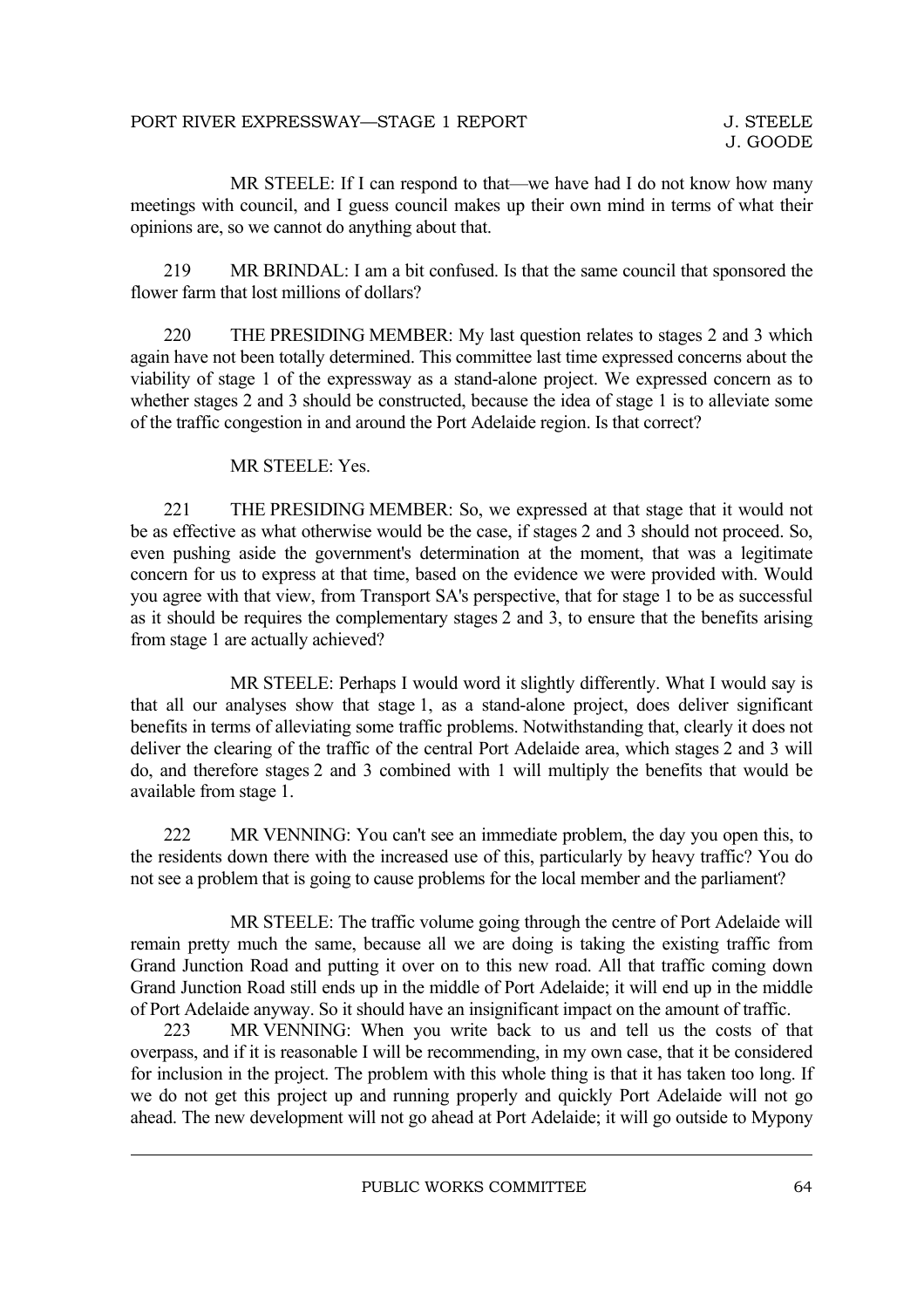MR STEELE: If I can respond to that—we have had I do not know how many meetings with council, and I guess council makes up their own mind in terms of what their opinions are, so we cannot do anything about that.

219 MR BRINDAL: I am a bit confused. Is that the same council that sponsored the flower farm that lost millions of dollars?

220 THE PRESIDING MEMBER: My last question relates to stages 2 and 3 which again have not been totally determined. This committee last time expressed concerns about the viability of stage 1 of the expressway as a stand-alone project. We expressed concern as to whether stages 2 and 3 should be constructed, because the idea of stage 1 is to alleviate some of the traffic congestion in and around the Port Adelaide region. Is that correct?

#### MR STEELE: Yes.

221 THE PRESIDING MEMBER: So, we expressed at that stage that it would not be as effective as what otherwise would be the case, if stages 2 and 3 should not proceed. So, even pushing aside the government's determination at the moment, that was a legitimate concern for us to express at that time, based on the evidence we were provided with. Would you agree with that view, from Transport SA's perspective, that for stage 1 to be as successful as it should be requires the complementary stages 2 and 3, to ensure that the benefits arising from stage 1 are actually achieved?

MR STEELE: Perhaps I would word it slightly differently. What I would say is that all our analyses show that stage 1, as a stand-alone project, does deliver significant benefits in terms of alleviating some traffic problems. Notwithstanding that, clearly it does not deliver the clearing of the traffic of the central Port Adelaide area, which stages 2 and 3 will do, and therefore stages 2 and 3 combined with 1 will multiply the benefits that would be available from stage 1.

222 MR VENNING: You can't see an immediate problem, the day you open this, to the residents down there with the increased use of this, particularly by heavy traffic? You do not see a problem that is going to cause problems for the local member and the parliament?

MR STEELE: The traffic volume going through the centre of Port Adelaide will remain pretty much the same, because all we are doing is taking the existing traffic from Grand Junction Road and putting it over on to this new road. All that traffic coming down Grand Junction Road still ends up in the middle of Port Adelaide; it will end up in the middle of Port Adelaide anyway. So it should have an insignificant impact on the amount of traffic.

223 MR VENNING: When you write back to us and tell us the costs of that overpass, and if it is reasonable I will be recommending, in my own case, that it be considered for inclusion in the project. The problem with this whole thing is that it has taken too long. If we do not get this project up and running properly and quickly Port Adelaide will not go ahead. The new development will not go ahead at Port Adelaide; it will go outside to Mypony